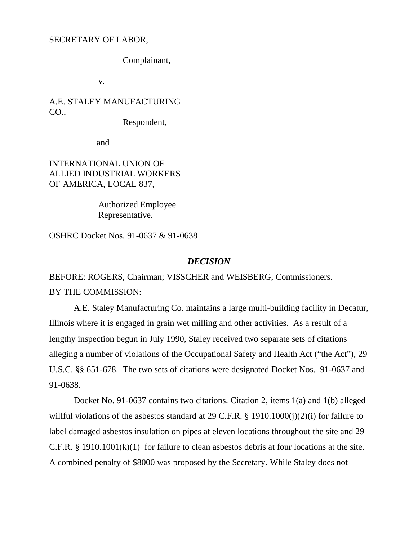### SECRETARY OF LABOR,

Complainant,

v.

A.E. STALEY MANUFACTURING CO.,

Respondent,

and

INTERNATIONAL UNION OF ALLIED INDUSTRIAL WORKERS OF AMERICA, LOCAL 837,

> Authorized Employee Representative.

OSHRC Docket Nos. 91-0637 & 91-0638

# *DECISION*

BEFORE: ROGERS, Chairman; VISSCHER and WEISBERG, Commissioners. BY THE COMMISSION:

A.E. Staley Manufacturing Co. maintains a large multi-building facility in Decatur, Illinois where it is engaged in grain wet milling and other activities. As a result of a lengthy inspection begun in July 1990, Staley received two separate sets of citations alleging a number of violations of the Occupational Safety and Health Act ("the Act"), 29 U.S.C. §§ 651-678. The two sets of citations were designated Docket Nos. 91-0637 and 91-0638.

Docket No. 91-0637 contains two citations. Citation 2, items 1(a) and 1(b) alleged willful violations of the asbestos standard at 29 C.F.R. § 1910.1000(j)(2)(i) for failure to label damaged asbestos insulation on pipes at eleven locations throughout the site and 29 C.F.R. § 1910.1001(k)(1) for failure to clean asbestos debris at four locations at the site. A combined penalty of \$8000 was proposed by the Secretary. While Staley does not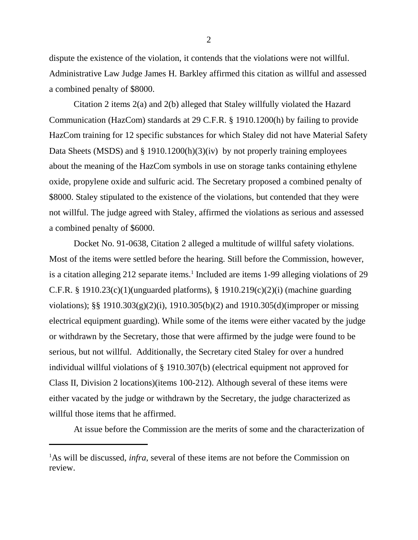dispute the existence of the violation, it contends that the violations were not willful. Administrative Law Judge James H. Barkley affirmed this citation as willful and assessed a combined penalty of \$8000.

Citation 2 items 2(a) and 2(b) alleged that Staley willfully violated the Hazard Communication (HazCom) standards at 29 C.F.R. § 1910.1200(h) by failing to provide HazCom training for 12 specific substances for which Staley did not have Material Safety Data Sheets (MSDS) and § 1910.1200(h)(3)(iv) by not properly training employees about the meaning of the HazCom symbols in use on storage tanks containing ethylene oxide, propylene oxide and sulfuric acid. The Secretary proposed a combined penalty of \$8000. Staley stipulated to the existence of the violations, but contended that they were not willful. The judge agreed with Staley, affirmed the violations as serious and assessed a combined penalty of \$6000.

Docket No. 91-0638, Citation 2 alleged a multitude of willful safety violations. Most of the items were settled before the hearing. Still before the Commission, however, is a citation alleging 212 separate items.<sup>1</sup> Included are items 1-99 alleging violations of 29 C.F.R. § 1910.23(c)(1)(unguarded platforms), § 1910.219(c)(2)(i) (machine guarding violations); §§ 1910.303(g)(2)(i), 1910.305(b)(2) and 1910.305(d)(improper or missing electrical equipment guarding). While some of the items were either vacated by the judge or withdrawn by the Secretary, those that were affirmed by the judge were found to be serious, but not willful. Additionally, the Secretary cited Staley for over a hundred individual willful violations of § 1910.307(b) (electrical equipment not approved for Class II, Division 2 locations)(items 100-212). Although several of these items were either vacated by the judge or withdrawn by the Secretary, the judge characterized as willful those items that he affirmed.

At issue before the Commission are the merits of some and the characterization of

<sup>&</sup>lt;sup>1</sup>As will be discussed, *infra*, several of these items are not before the Commission on review.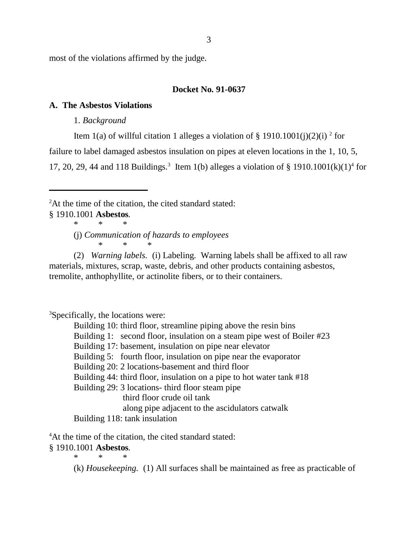most of the violations affirmed by the judge.

# **Docket No. 91-0637**

# **A. The Asbestos Violations**

1. *Background*

Item 1(a) of willful citation 1 alleges a violation of § 1910.1001(j)(2)(i)<sup>2</sup> for

failure to label damaged asbestos insulation on pipes at eleven locations in the 1, 10, 5,

17, 20, 29, 44 and 118 Buildings.<sup>3</sup> Item 1(b) alleges a violation of § 1910.1001(k)(1)<sup>4</sup> for

<sup>2</sup>At the time of the citation, the cited standard stated:

- § 1910.1001 **Asbestos***.*
	- \*\*\*
	- (j) *Communication of hazards to employees* \* \* \*

(2) *Warning labels.* (i) Labeling. Warning labels shall be affixed to all raw materials, mixtures, scrap, waste, debris, and other products containing asbestos, tremolite, anthophyllite, or actinolite fibers, or to their containers.

3 Specifically, the locations were:

Building 10: third floor, streamline piping above the resin bins

Building 1: second floor, insulation on a steam pipe west of Boiler #23

Building 17: basement, insulation on pipe near elevator

Building 5: fourth floor, insulation on pipe near the evaporator

Building 20: 2 locations-basement and third floor

Building 44: third floor, insulation on a pipe to hot water tank #18

Building 29: 3 locations- third floor steam pipe

third floor crude oil tank

along pipe adjacent to the ascidulators catwalk

Building 118: tank insulation

<sup>4</sup>At the time of the citation, the cited standard stated:

# § 1910.1001 **Asbestos***.*

\*\*\*

(k) *Housekeeping.* (1) All surfaces shall be maintained as free as practicable of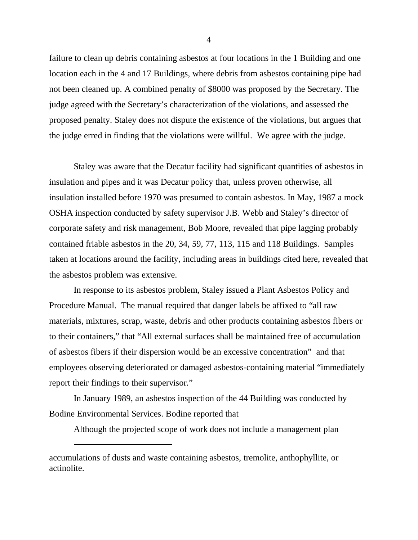failure to clean up debris containing asbestos at four locations in the 1 Building and one location each in the 4 and 17 Buildings, where debris from asbestos containing pipe had not been cleaned up. A combined penalty of \$8000 was proposed by the Secretary. The judge agreed with the Secretary's characterization of the violations, and assessed the proposed penalty. Staley does not dispute the existence of the violations, but argues that the judge erred in finding that the violations were willful. We agree with the judge.

Staley was aware that the Decatur facility had significant quantities of asbestos in insulation and pipes and it was Decatur policy that, unless proven otherwise, all insulation installed before 1970 was presumed to contain asbestos. In May, 1987 a mock OSHA inspection conducted by safety supervisor J.B. Webb and Staley's director of corporate safety and risk management, Bob Moore, revealed that pipe lagging probably contained friable asbestos in the 20, 34, 59, 77, 113, 115 and 118 Buildings. Samples taken at locations around the facility, including areas in buildings cited here, revealed that the asbestos problem was extensive.

In response to its asbestos problem, Staley issued a Plant Asbestos Policy and Procedure Manual. The manual required that danger labels be affixed to "all raw materials, mixtures, scrap, waste, debris and other products containing asbestos fibers or to their containers," that "All external surfaces shall be maintained free of accumulation of asbestos fibers if their dispersion would be an excessive concentration" and that employees observing deteriorated or damaged asbestos-containing material "immediately report their findings to their supervisor."

In January 1989, an asbestos inspection of the 44 Building was conducted by Bodine Environmental Services. Bodine reported that

Although the projected scope of work does not include a management plan

accumulations of dusts and waste containing asbestos, tremolite, anthophyllite, or actinolite.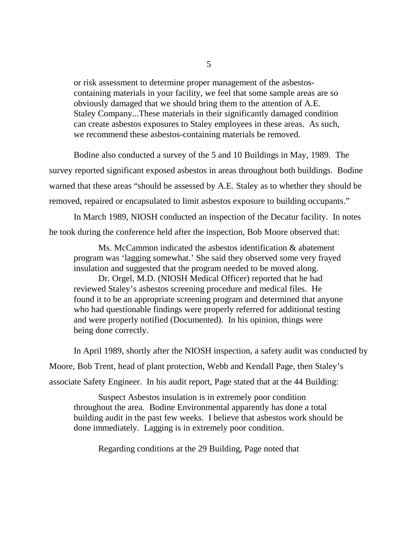or risk assessment to determine proper management of the asbestoscontaining materials in your facility, we feel that some sample areas are so obviously damaged that we should bring them to the attention of A.E. Staley Company...These materials in their significantly damaged condition can create asbestos exposures to Staley employees in these areas. As such, we recommend these asbestos-containing materials be removed.

Bodine also conducted a survey of the 5 and 10 Buildings in May, 1989. The survey reported significant exposed asbestos in areas throughout both buildings. Bodine warned that these areas "should be assessed by A.E. Staley as to whether they should be removed, repaired or encapsulated to limit asbestos exposure to building occupants."

In March 1989, NIOSH conducted an inspection of the Decatur facility. In notes he took during the conference held after the inspection, Bob Moore observed that:

Ms. McCammon indicated the asbestos identification & abatement program was 'lagging somewhat.' She said they observed some very frayed insulation and suggested that the program needed to be moved along.

Dr. Orgel, M.D. (NIOSH Medical Officer) reported that he had reviewed Staley's asbestos screening procedure and medical files. He found it to be an appropriate screening program and determined that anyone who had questionable findings were properly referred for additional testing and were properly notified (Documented). In his opinion, things were being done correctly.

In April 1989, shortly after the NIOSH inspection, a safety audit was conducted by Moore, Bob Trent, head of plant protection, Webb and Kendall Page, then Staley's associate Safety Engineer. In his audit report, Page stated that at the 44 Building:

Suspect Asbestos insulation is in extremely poor condition throughout the area. Bodine Environmental apparently has done a total building audit in the past few weeks. I believe that asbestos work should be done immediately. Lagging is in extremely poor condition.

Regarding conditions at the 29 Building, Page noted that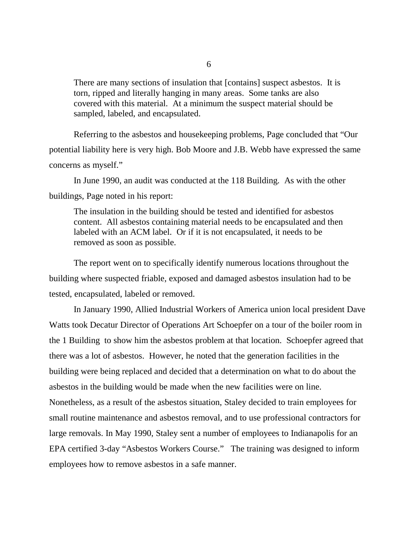There are many sections of insulation that [contains] suspect asbestos. It is torn, ripped and literally hanging in many areas. Some tanks are also covered with this material. At a minimum the suspect material should be sampled, labeled, and encapsulated.

Referring to the asbestos and housekeeping problems, Page concluded that "Our potential liability here is very high. Bob Moore and J.B. Webb have expressed the same concerns as myself."

In June 1990, an audit was conducted at the 118 Building. As with the other buildings, Page noted in his report:

The insulation in the building should be tested and identified for asbestos content. All asbestos containing material needs to be encapsulated and then labeled with an ACM label. Or if it is not encapsulated, it needs to be removed as soon as possible.

The report went on to specifically identify numerous locations throughout the building where suspected friable, exposed and damaged asbestos insulation had to be tested, encapsulated, labeled or removed.

In January 1990, Allied Industrial Workers of America union local president Dave Watts took Decatur Director of Operations Art Schoepfer on a tour of the boiler room in the 1 Building to show him the asbestos problem at that location. Schoepfer agreed that there was a lot of asbestos. However, he noted that the generation facilities in the building were being replaced and decided that a determination on what to do about the asbestos in the building would be made when the new facilities were on line. Nonetheless, as a result of the asbestos situation, Staley decided to train employees for small routine maintenance and asbestos removal, and to use professional contractors for large removals. In May 1990, Staley sent a number of employees to Indianapolis for an EPA certified 3-day "Asbestos Workers Course." The training was designed to inform employees how to remove asbestos in a safe manner.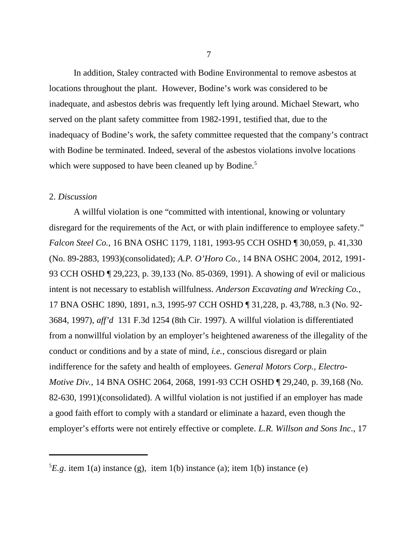In addition, Staley contracted with Bodine Environmental to remove asbestos at locations throughout the plant. However, Bodine's work was considered to be inadequate, and asbestos debris was frequently left lying around. Michael Stewart, who served on the plant safety committee from 1982-1991, testified that, due to the inadequacy of Bodine's work, the safety committee requested that the company's contract with Bodine be terminated. Indeed, several of the asbestos violations involve locations which were supposed to have been cleaned up by Bodine.<sup>5</sup>

#### 2. *Discussion*

A willful violation is one "committed with intentional, knowing or voluntary disregard for the requirements of the Act, or with plain indifference to employee safety." *Falcon Steel Co.*, 16 BNA OSHC 1179, 1181, 1993-95 CCH OSHD ¶ 30,059, p. 41,330 (No. 89-2883, 1993)(consolidated); *A.P. O'Horo Co.*, 14 BNA OSHC 2004, 2012, 1991- 93 CCH OSHD ¶ 29,223, p. 39,133 (No. 85-0369, 1991). A showing of evil or malicious intent is not necessary to establish willfulness. *Anderson Excavating and Wrecking Co.*, 17 BNA OSHC 1890, 1891, n.3, 1995-97 CCH OSHD ¶ 31,228, p. 43,788, n.3 (No. 92- 3684, 1997), *aff'd* 131 F.3d 1254 (8th Cir. 1997). A willful violation is differentiated from a nonwillful violation by an employer's heightened awareness of the illegality of the conduct or conditions and by a state of mind, *i.e.*, conscious disregard or plain indifference for the safety and health of employees. *General Motors Corp., Electro-Motive Div.*, 14 BNA OSHC 2064, 2068, 1991-93 CCH OSHD ¶ 29,240, p. 39,168 (No. 82-630, 1991)(consolidated). A willful violation is not justified if an employer has made a good faith effort to comply with a standard or eliminate a hazard, even though the employer's efforts were not entirely effective or complete. *L.R. Willson and Sons Inc*., 17

 ${}^{5}E.g.$  item 1(a) instance (g), item 1(b) instance (a); item 1(b) instance (e)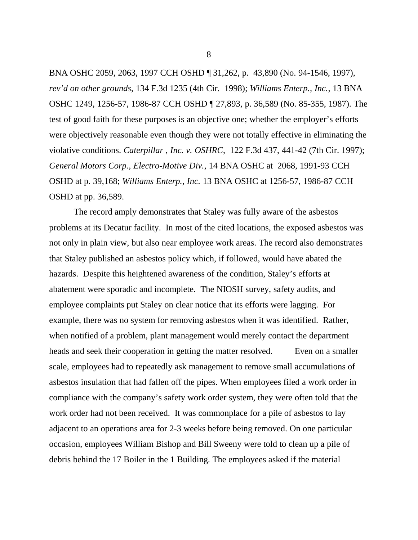BNA OSHC 2059, 2063, 1997 CCH OSHD ¶ 31,262, p. 43,890 (No. 94-1546, 1997), *rev'd on other grounds*, 134 F.3d 1235 (4th Cir. 1998); *Williams Enterp., Inc.*, 13 BNA OSHC 1249, 1256-57, 1986-87 CCH OSHD ¶ 27,893, p. 36,589 (No. 85-355, 1987). The test of good faith for these purposes is an objective one; whether the employer's efforts were objectively reasonable even though they were not totally effective in eliminating the violative conditions. *Caterpillar , Inc. v. OSHRC*, 122 F.3d 437, 441-42 (7th Cir. 1997); *General Motors Corp., Electro-Motive Div.*, 14 BNA OSHC at 2068, 1991-93 CCH OSHD at p. 39,168; *Williams Enterp., Inc.* 13 BNA OSHC at 1256-57, 1986-87 CCH OSHD at pp. 36,589.

The record amply demonstrates that Staley was fully aware of the asbestos problems at its Decatur facility. In most of the cited locations, the exposed asbestos was not only in plain view, but also near employee work areas. The record also demonstrates that Staley published an asbestos policy which, if followed, would have abated the hazards. Despite this heightened awareness of the condition, Staley's efforts at abatement were sporadic and incomplete. The NIOSH survey, safety audits, and employee complaints put Staley on clear notice that its efforts were lagging. For example, there was no system for removing asbestos when it was identified. Rather, when notified of a problem, plant management would merely contact the department heads and seek their cooperation in getting the matter resolved. Even on a smaller scale, employees had to repeatedly ask management to remove small accumulations of asbestos insulation that had fallen off the pipes. When employees filed a work order in compliance with the company's safety work order system, they were often told that the work order had not been received. It was commonplace for a pile of asbestos to lay adjacent to an operations area for 2-3 weeks before being removed. On one particular occasion, employees William Bishop and Bill Sweeny were told to clean up a pile of debris behind the 17 Boiler in the 1 Building. The employees asked if the material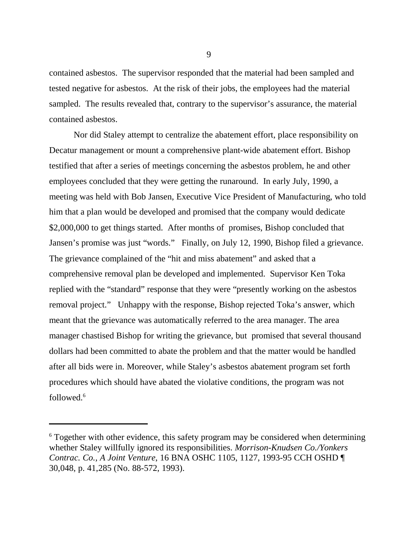contained asbestos. The supervisor responded that the material had been sampled and tested negative for asbestos. At the risk of their jobs, the employees had the material sampled. The results revealed that, contrary to the supervisor's assurance, the material contained asbestos.

 Nor did Staley attempt to centralize the abatement effort, place responsibility on Decatur management or mount a comprehensive plant-wide abatement effort. Bishop testified that after a series of meetings concerning the asbestos problem, he and other employees concluded that they were getting the runaround. In early July, 1990, a meeting was held with Bob Jansen, Executive Vice President of Manufacturing, who told him that a plan would be developed and promised that the company would dedicate \$2,000,000 to get things started. After months of promises, Bishop concluded that Jansen's promise was just "words." Finally, on July 12, 1990, Bishop filed a grievance. The grievance complained of the "hit and miss abatement" and asked that a comprehensive removal plan be developed and implemented. Supervisor Ken Toka replied with the "standard" response that they were "presently working on the asbestos removal project." Unhappy with the response, Bishop rejected Toka's answer, which meant that the grievance was automatically referred to the area manager. The area manager chastised Bishop for writing the grievance, but promised that several thousand dollars had been committed to abate the problem and that the matter would be handled after all bids were in. Moreover, while Staley's asbestos abatement program set forth procedures which should have abated the violative conditions, the program was not followed.6

<sup>&</sup>lt;sup>6</sup> Together with other evidence, this safety program may be considered when determining whether Staley willfully ignored its responsibilities. *Morrison-Knudsen Co./Yonkers Contrac. Co., A Joint Venture*, 16 BNA OSHC 1105, 1127, 1993-95 CCH OSHD ¶ 30,048, p. 41,285 (No. 88-572, 1993).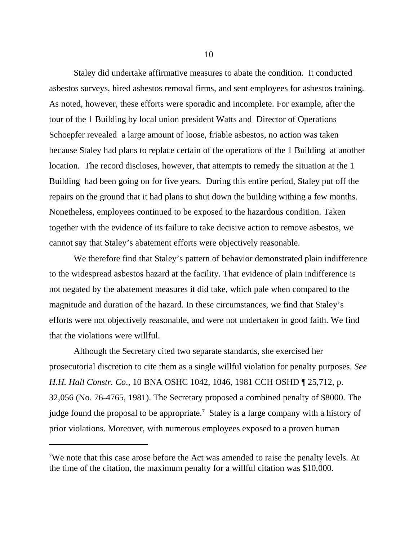Staley did undertake affirmative measures to abate the condition. It conducted asbestos surveys, hired asbestos removal firms, and sent employees for asbestos training. As noted, however, these efforts were sporadic and incomplete. For example, after the tour of the 1 Building by local union president Watts and Director of Operations Schoepfer revealed a large amount of loose, friable asbestos, no action was taken because Staley had plans to replace certain of the operations of the 1 Building at another location. The record discloses, however, that attempts to remedy the situation at the 1 Building had been going on for five years. During this entire period, Staley put off the repairs on the ground that it had plans to shut down the building withing a few months. Nonetheless, employees continued to be exposed to the hazardous condition. Taken together with the evidence of its failure to take decisive action to remove asbestos, we cannot say that Staley's abatement efforts were objectively reasonable.

We therefore find that Staley's pattern of behavior demonstrated plain indifference to the widespread asbestos hazard at the facility. That evidence of plain indifference is not negated by the abatement measures it did take, which pale when compared to the magnitude and duration of the hazard. In these circumstances, we find that Staley's efforts were not objectively reasonable, and were not undertaken in good faith. We find that the violations were willful.

Although the Secretary cited two separate standards, she exercised her prosecutorial discretion to cite them as a single willful violation for penalty purposes. *See H.H. Hall Constr. Co*., 10 BNA OSHC 1042, 1046, 1981 CCH OSHD ¶ 25,712, p. 32,056 (No. 76-4765, 1981). The Secretary proposed a combined penalty of \$8000. The judge found the proposal to be appropriate.<sup>7</sup> Staley is a large company with a history of prior violations. Moreover, with numerous employees exposed to a proven human

<sup>&</sup>lt;sup>7</sup>We note that this case arose before the Act was amended to raise the penalty levels. At the time of the citation, the maximum penalty for a willful citation was \$10,000.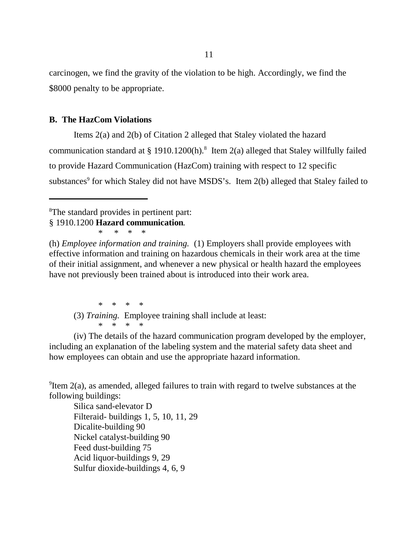carcinogen, we find the gravity of the violation to be high. Accordingly, we find the \$8000 penalty to be appropriate.

## **B. The HazCom Violations**

Items 2(a) and 2(b) of Citation 2 alleged that Staley violated the hazard communication standard at § 1910.1200(h).<sup>8</sup> Item 2(a) alleged that Staley willfully failed to provide Hazard Communication (HazCom) training with respect to 12 specific substances<sup>9</sup> for which Staley did not have MSDS's. Item 2(b) alleged that Staley failed to

8 The standard provides in pertinent part:

§ 1910.1200 **Hazard communication***.* \* \* \* \*

(h) *Employee information and training.* (1) Employers shall provide employees with effective information and training on hazardous chemicals in their work area at the time of their initial assignment, and whenever a new physical or health hazard the employees have not previously been trained about is introduced into their work area.

\* \* \* \* (3) *Training.* Employee training shall include at least: \* \* \* \*

(iv) The details of the hazard communication program developed by the employer, including an explanation of the labeling system and the material safety data sheet and how employees can obtain and use the appropriate hazard information.

 $9$ Item 2(a), as amended, alleged failures to train with regard to twelve substances at the following buildings:

Silica sand-elevator D Filteraid- buildings 1, 5, 10, 11, 29 Dicalite-building 90 Nickel catalyst-building 90 Feed dust-building 75 Acid liquor-buildings 9, 29 Sulfur dioxide-buildings 4, 6, 9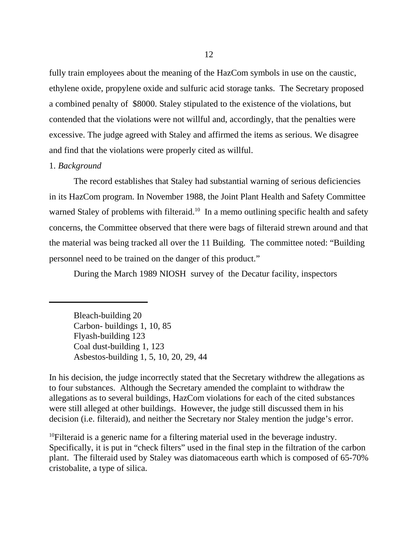fully train employees about the meaning of the HazCom symbols in use on the caustic, ethylene oxide, propylene oxide and sulfuric acid storage tanks. The Secretary proposed a combined penalty of \$8000. Staley stipulated to the existence of the violations, but contended that the violations were not willful and, accordingly, that the penalties were excessive. The judge agreed with Staley and affirmed the items as serious. We disagree and find that the violations were properly cited as willful.

### 1. *Background*

The record establishes that Staley had substantial warning of serious deficiencies in its HazCom program. In November 1988, the Joint Plant Health and Safety Committee warned Staley of problems with filteraid.<sup>10</sup> In a memo outlining specific health and safety concerns, the Committee observed that there were bags of filteraid strewn around and that the material was being tracked all over the 11 Building. The committee noted: "Building personnel need to be trained on the danger of this product."

During the March 1989 NIOSH survey of the Decatur facility, inspectors

Bleach-building 20 Carbon- buildings 1, 10, 85 Flyash-building 123 Coal dust-building 1, 123 Asbestos-building 1, 5, 10, 20, 29, 44

In his decision, the judge incorrectly stated that the Secretary withdrew the allegations as to four substances. Although the Secretary amended the complaint to withdraw the allegations as to several buildings, HazCom violations for each of the cited substances were still alleged at other buildings. However, the judge still discussed them in his decision (i.e. filteraid), and neither the Secretary nor Staley mention the judge's error.

<sup>10</sup>Filteraid is a generic name for a filtering material used in the beverage industry. Specifically, it is put in "check filters" used in the final step in the filtration of the carbon plant. The filteraid used by Staley was diatomaceous earth which is composed of 65-70% cristobalite, a type of silica.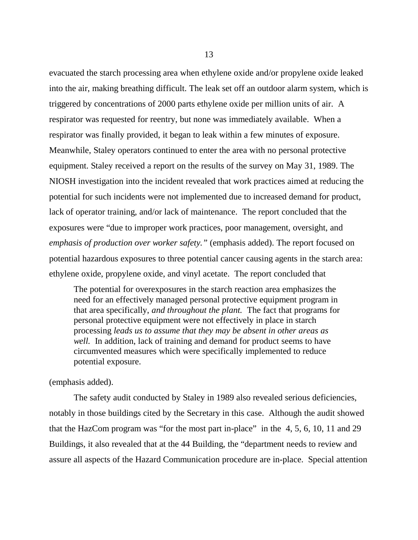evacuated the starch processing area when ethylene oxide and/or propylene oxide leaked into the air, making breathing difficult. The leak set off an outdoor alarm system, which is triggered by concentrations of 2000 parts ethylene oxide per million units of air. A respirator was requested for reentry, but none was immediately available. When a respirator was finally provided, it began to leak within a few minutes of exposure. Meanwhile, Staley operators continued to enter the area with no personal protective equipment. Staley received a report on the results of the survey on May 31, 1989. The NIOSH investigation into the incident revealed that work practices aimed at reducing the potential for such incidents were not implemented due to increased demand for product, lack of operator training, and/or lack of maintenance. The report concluded that the exposures were "due to improper work practices, poor management, oversight, and *emphasis of production over worker safety."* (emphasis added). The report focused on potential hazardous exposures to three potential cancer causing agents in the starch area: ethylene oxide, propylene oxide, and vinyl acetate. The report concluded that

The potential for overexposures in the starch reaction area emphasizes the need for an effectively managed personal protective equipment program in that area specifically, *and throughout the plant.* The fact that programs for personal protective equipment were not effectively in place in starch processing *leads us to assume that they may be absent in other areas as well.* In addition, lack of training and demand for product seems to have circumvented measures which were specifically implemented to reduce potential exposure.

## (emphasis added).

The safety audit conducted by Staley in 1989 also revealed serious deficiencies, notably in those buildings cited by the Secretary in this case. Although the audit showed that the HazCom program was "for the most part in-place" in the 4, 5, 6, 10, 11 and 29 Buildings, it also revealed that at the 44 Building, the "department needs to review and assure all aspects of the Hazard Communication procedure are in-place. Special attention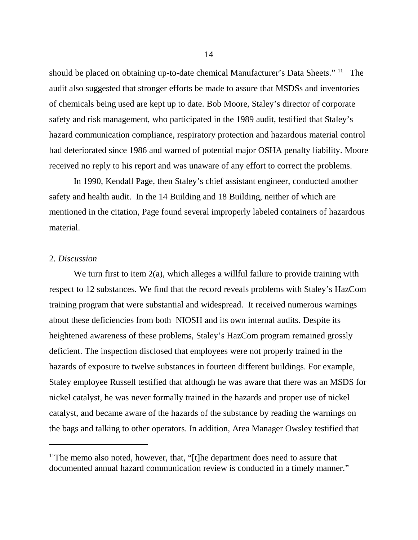should be placed on obtaining up-to-date chemical Manufacturer's Data Sheets." <sup>11</sup> The audit also suggested that stronger efforts be made to assure that MSDSs and inventories of chemicals being used are kept up to date. Bob Moore, Staley's director of corporate safety and risk management, who participated in the 1989 audit, testified that Staley's hazard communication compliance, respiratory protection and hazardous material control had deteriorated since 1986 and warned of potential major OSHA penalty liability. Moore received no reply to his report and was unaware of any effort to correct the problems.

In 1990, Kendall Page, then Staley's chief assistant engineer, conducted another safety and health audit. In the 14 Building and 18 Building, neither of which are mentioned in the citation, Page found several improperly labeled containers of hazardous material.

### 2. *Discussion*

We turn first to item 2(a), which alleges a willful failure to provide training with respect to 12 substances. We find that the record reveals problems with Staley's HazCom training program that were substantial and widespread. It received numerous warnings about these deficiencies from both NIOSH and its own internal audits. Despite its heightened awareness of these problems, Staley's HazCom program remained grossly deficient. The inspection disclosed that employees were not properly trained in the hazards of exposure to twelve substances in fourteen different buildings. For example, Staley employee Russell testified that although he was aware that there was an MSDS for nickel catalyst, he was never formally trained in the hazards and proper use of nickel catalyst, and became aware of the hazards of the substance by reading the warnings on the bags and talking to other operators. In addition, Area Manager Owsley testified that

<sup>&</sup>lt;sup>11</sup>The memo also noted, however, that, "[t]he department does need to assure that documented annual hazard communication review is conducted in a timely manner."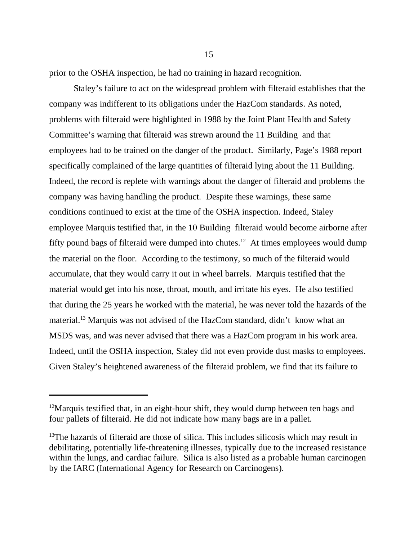prior to the OSHA inspection, he had no training in hazard recognition.

Staley's failure to act on the widespread problem with filteraid establishes that the company was indifferent to its obligations under the HazCom standards. As noted, problems with filteraid were highlighted in 1988 by the Joint Plant Health and Safety Committee's warning that filteraid was strewn around the 11 Building and that employees had to be trained on the danger of the product. Similarly, Page's 1988 report specifically complained of the large quantities of filteraid lying about the 11 Building. Indeed, the record is replete with warnings about the danger of filteraid and problems the company was having handling the product. Despite these warnings, these same conditions continued to exist at the time of the OSHA inspection. Indeed, Staley employee Marquis testified that, in the 10 Building filteraid would become airborne after fifty pound bags of filteraid were dumped into chutes.<sup>12</sup> At times employees would dump the material on the floor. According to the testimony, so much of the filteraid would accumulate, that they would carry it out in wheel barrels. Marquis testified that the material would get into his nose, throat, mouth, and irritate his eyes. He also testified that during the 25 years he worked with the material, he was never told the hazards of the material.<sup>13</sup> Marquis was not advised of the HazCom standard, didn't know what an MSDS was, and was never advised that there was a HazCom program in his work area. Indeed, until the OSHA inspection, Staley did not even provide dust masks to employees. Given Staley's heightened awareness of the filteraid problem, we find that its failure to

 $12$ Marquis testified that, in an eight-hour shift, they would dump between ten bags and four pallets of filteraid. He did not indicate how many bags are in a pallet.

 $13$ The hazards of filteraid are those of silica. This includes silicosis which may result in debilitating, potentially life-threatening illnesses, typically due to the increased resistance within the lungs, and cardiac failure. Silica is also listed as a probable human carcinogen by the IARC (International Agency for Research on Carcinogens).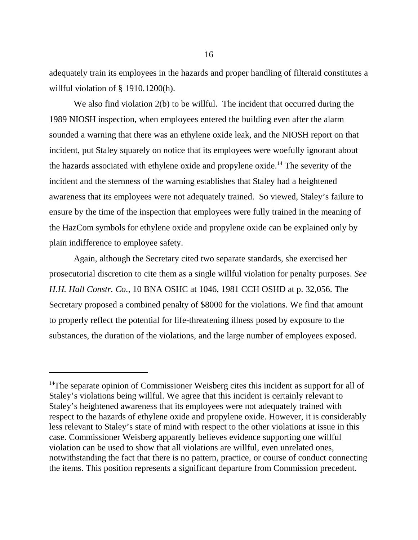adequately train its employees in the hazards and proper handling of filteraid constitutes a willful violation of § 1910.1200(h).

We also find violation 2(b) to be willful. The incident that occurred during the 1989 NIOSH inspection, when employees entered the building even after the alarm sounded a warning that there was an ethylene oxide leak, and the NIOSH report on that incident, put Staley squarely on notice that its employees were woefully ignorant about the hazards associated with ethylene oxide and propylene oxide.14 The severity of the incident and the sternness of the warning establishes that Staley had a heightened awareness that its employees were not adequately trained. So viewed, Staley's failure to ensure by the time of the inspection that employees were fully trained in the meaning of the HazCom symbols for ethylene oxide and propylene oxide can be explained only by plain indifference to employee safety.

Again, although the Secretary cited two separate standards, she exercised her prosecutorial discretion to cite them as a single willful violation for penalty purposes. *See H.H. Hall Constr. Co*., 10 BNA OSHC at 1046, 1981 CCH OSHD at p. 32,056. The Secretary proposed a combined penalty of \$8000 for the violations. We find that amount to properly reflect the potential for life-threatening illness posed by exposure to the substances, the duration of the violations, and the large number of employees exposed.

<sup>&</sup>lt;sup>14</sup>The separate opinion of Commissioner Weisberg cites this incident as support for all of Staley's violations being willful. We agree that this incident is certainly relevant to Staley's heightened awareness that its employees were not adequately trained with respect to the hazards of ethylene oxide and propylene oxide. However, it is considerably less relevant to Staley's state of mind with respect to the other violations at issue in this case. Commissioner Weisberg apparently believes evidence supporting one willful violation can be used to show that all violations are willful, even unrelated ones, notwithstanding the fact that there is no pattern, practice, or course of conduct connecting the items. This position represents a significant departure from Commission precedent.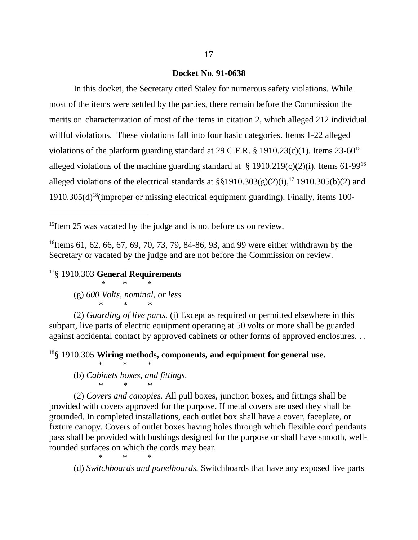#### **Docket No. 91-0638**

In this docket, the Secretary cited Staley for numerous safety violations. While most of the items were settled by the parties, there remain before the Commission the merits or characterization of most of the items in citation 2, which alleged 212 individual willful violations. These violations fall into four basic categories. Items 1-22 alleged violations of the platform guarding standard at 29 C.F.R. § 1910.23(c)(1). Items 23-60<sup>15</sup> alleged violations of the machine guarding standard at  $\S$  1910.219(c)(2)(i). Items 61-99<sup>16</sup> alleged violations of the electrical standards at  $\S$ §1910.303(g)(2)(i),<sup>17</sup> 1910.305(b)(2) and  $1910.305(d)^{18}$ (improper or missing electrical equipment guarding). Finally, items 100-

 $15$ Item 25 was vacated by the judge and is not before us on review.

<sup>16</sup>Items 61, 62, 66, 67, 69, 70, 73, 79, 84-86, 93, and 99 were either withdrawn by the Secretary or vacated by the judge and are not before the Commission on review.

17§ 1910.303 **General Requirements**

 \* \* \* (g) *600 Volts, nominal, or less \*\*\**

 (2) *Guarding of live parts.* (i) Except as required or permitted elsewhere in this subpart, live parts of electric equipment operating at 50 volts or more shall be guarded against accidental contact by approved cabinets or other forms of approved enclosures. . .

18§ 1910.305 **Wiring methods, components, and equipment for general use.**

(b) *Cabinets boxes, and fittings. \*\*\**

\*\*\*

\*\*\*

(2) *Covers and canopies.* All pull boxes, junction boxes, and fittings shall be provided with covers approved for the purpose. If metal covers are used they shall be grounded. In completed installations, each outlet box shall have a cover, faceplate, or fixture canopy. Covers of outlet boxes having holes through which flexible cord pendants pass shall be provided with bushings designed for the purpose or shall have smooth, wellrounded surfaces on which the cords may bear.

(d) *Switchboards and panelboards.* Switchboards that have any exposed live parts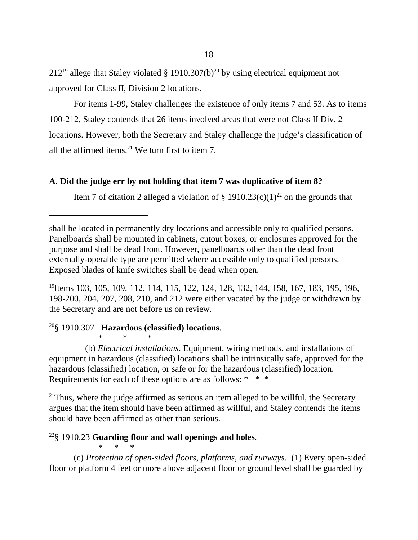$212^{19}$  allege that Staley violated § 1910.307(b)<sup>20</sup> by using electrical equipment not approved for Class II, Division 2 locations.

For items 1-99, Staley challenges the existence of only items 7 and 53. As to items 100-212, Staley contends that 26 items involved areas that were not Class II Div. 2 locations. However, both the Secretary and Staley challenge the judge's classification of all the affirmed items. $21$  We turn first to item 7.

# **A**. **Did the judge err by not holding that item 7 was duplicative of item 8?**

Item 7 of citation 2 alleged a violation of § 1910.23(c)(1)<sup>22</sup> on the grounds that

<sup>19</sup>Items 103, 105, 109, 112, 114, 115, 122, 124, 128, 132, 144, 158, 167, 183, 195, 196, 198-200, 204, 207, 208, 210, and 212 were either vacated by the judge or withdrawn by the Secretary and are not before us on review.

# 20§ 1910.307 **Hazardous (classified) locations**.

\*\*\* (b) *Electrical installations*. Equipment, wiring methods, and installations of equipment in hazardous (classified) locations shall be intrinsically safe, approved for the hazardous (classified) location, or safe or for the hazardous (classified) location. Requirements for each of these options are as follows: \* \* \*

 $21$ Thus, where the judge affirmed as serious an item alleged to be willful, the Secretary argues that the item should have been affirmed as willful, and Staley contends the items should have been affirmed as other than serious.

#### 22§ 1910.23 **Guarding floor and wall openings and holes***.* \* \* \*

(c) *Protection of open-sided floors, platforms, and runways.* (1) Every open-sided floor or platform 4 feet or more above adjacent floor or ground level shall be guarded by

shall be located in permanently dry locations and accessible only to qualified persons. Panelboards shall be mounted in cabinets, cutout boxes, or enclosures approved for the purpose and shall be dead front. However, panelboards other than the dead front externally-operable type are permitted where accessible only to qualified persons. Exposed blades of knife switches shall be dead when open.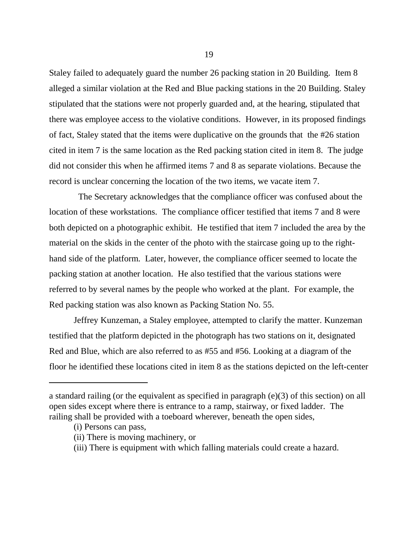Staley failed to adequately guard the number 26 packing station in 20 Building. Item 8 alleged a similar violation at the Red and Blue packing stations in the 20 Building. Staley stipulated that the stations were not properly guarded and, at the hearing, stipulated that there was employee access to the violative conditions. However, in its proposed findings of fact, Staley stated that the items were duplicative on the grounds that the #26 station cited in item 7 is the same location as the Red packing station cited in item 8. The judge did not consider this when he affirmed items 7 and 8 as separate violations. Because the record is unclear concerning the location of the two items, we vacate item 7.

 The Secretary acknowledges that the compliance officer was confused about the location of these workstations. The compliance officer testified that items 7 and 8 were both depicted on a photographic exhibit. He testified that item 7 included the area by the material on the skids in the center of the photo with the staircase going up to the righthand side of the platform. Later, however, the compliance officer seemed to locate the packing station at another location. He also testified that the various stations were referred to by several names by the people who worked at the plant. For example, the Red packing station was also known as Packing Station No. 55.

Jeffrey Kunzeman, a Staley employee, attempted to clarify the matter. Kunzeman testified that the platform depicted in the photograph has two stations on it, designated Red and Blue, which are also referred to as #55 and #56. Looking at a diagram of the floor he identified these locations cited in item 8 as the stations depicted on the left-center

a standard railing (or the equivalent as specified in paragraph (e)(3) of this section) on all open sides except where there is entrance to a ramp, stairway, or fixed ladder. The railing shall be provided with a toeboard wherever, beneath the open sides,

<sup>(</sup>i) Persons can pass,

<sup>(</sup>ii) There is moving machinery, or

<sup>(</sup>iii) There is equipment with which falling materials could create a hazard.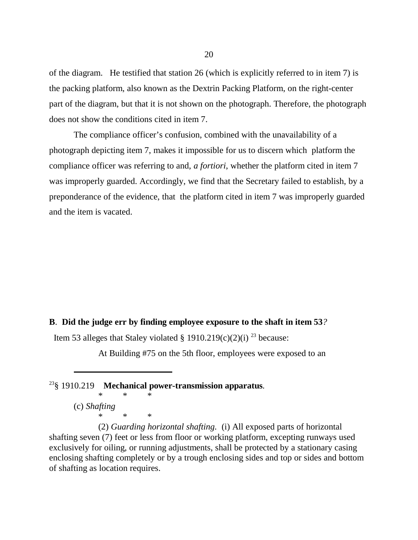of the diagram. He testified that station 26 (which is explicitly referred to in item 7) is the packing platform, also known as the Dextrin Packing Platform, on the right-center part of the diagram, but that it is not shown on the photograph. Therefore, the photograph does not show the conditions cited in item 7.

The compliance officer's confusion, combined with the unavailability of a photograph depicting item 7, makes it impossible for us to discern which platform the compliance officer was referring to and, *a fortiori*, whether the platform cited in item 7 was improperly guarded. Accordingly, we find that the Secretary failed to establish, by a preponderance of the evidence, that the platform cited in item 7 was improperly guarded and the item is vacated.

#### **B**. **Did the judge err by finding employee exposure to the shaft in item 53***?*

Item 53 alleges that Staley violated § 1910.219(c)(2)(i) <sup>23</sup> because:

At Building #75 on the 5th floor, employees were exposed to an

# 23§ 1910.219 **Mechanical power-transmission apparatus***.*

\*\*\* (c) *Shafting* \*\*\*

(2) *Guarding horizontal shafting.* (i) All exposed parts of horizontal shafting seven (7) feet or less from floor or working platform, excepting runways used exclusively for oiling, or running adjustments, shall be protected by a stationary casing enclosing shafting completely or by a trough enclosing sides and top or sides and bottom of shafting as location requires.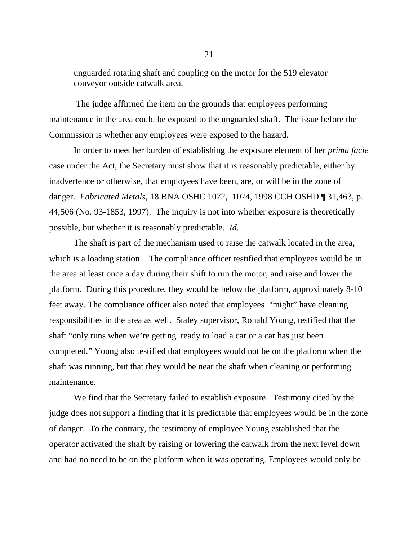unguarded rotating shaft and coupling on the motor for the 519 elevator conveyor outside catwalk area.

 The judge affirmed the item on the grounds that employees performing maintenance in the area could be exposed to the unguarded shaft. The issue before the Commission is whether any employees were exposed to the hazard.

In order to meet her burden of establishing the exposure element of her *prima facie* case under the Act, the Secretary must show that it is reasonably predictable, either by inadvertence or otherwise, that employees have been, are, or will be in the zone of danger. *Fabricated Metals*, 18 BNA OSHC 1072, 1074, 1998 CCH OSHD ¶ 31,463, p. 44,506 (No. 93-1853, 1997). The inquiry is not into whether exposure is theoretically possible, but whether it is reasonably predictable. *Id.*

The shaft is part of the mechanism used to raise the catwalk located in the area, which is a loading station. The compliance officer testified that employees would be in the area at least once a day during their shift to run the motor, and raise and lower the platform. During this procedure, they would be below the platform, approximately 8-10 feet away. The compliance officer also noted that employees "might" have cleaning responsibilities in the area as well. Staley supervisor, Ronald Young, testified that the shaft "only runs when we're getting ready to load a car or a car has just been completed." Young also testified that employees would not be on the platform when the shaft was running, but that they would be near the shaft when cleaning or performing maintenance.

We find that the Secretary failed to establish exposure. Testimony cited by the judge does not support a finding that it is predictable that employees would be in the zone of danger. To the contrary, the testimony of employee Young established that the operator activated the shaft by raising or lowering the catwalk from the next level down and had no need to be on the platform when it was operating. Employees would only be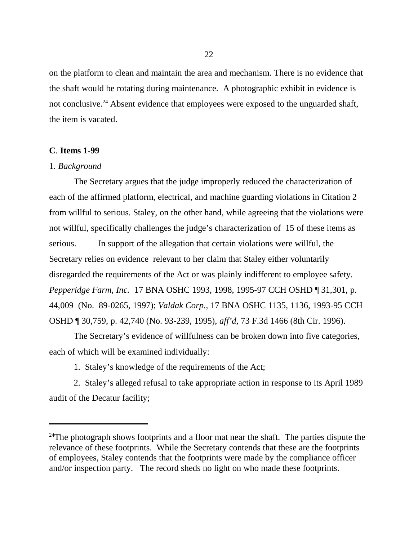on the platform to clean and maintain the area and mechanism. There is no evidence that the shaft would be rotating during maintenance. A photographic exhibit in evidence is not conclusive.<sup>24</sup> Absent evidence that employees were exposed to the unguarded shaft, the item is vacated.

### **C**. **Items 1-99**

## 1. *Background*

The Secretary argues that the judge improperly reduced the characterization of each of the affirmed platform, electrical, and machine guarding violations in Citation 2 from willful to serious. Staley, on the other hand, while agreeing that the violations were not willful, specifically challenges the judge's characterization of 15 of these items as serious. In support of the allegation that certain violations were willful, the Secretary relies on evidence relevant to her claim that Staley either voluntarily disregarded the requirements of the Act or was plainly indifferent to employee safety. *Pepperidge Farm, Inc.* 17 BNA OSHC 1993, 1998, 1995-97 CCH OSHD ¶ 31,301, p. 44,009 (No. 89-0265, 1997); *Valdak Corp.,* 17 BNA OSHC 1135, 1136, 1993-95 CCH OSHD ¶ 30,759, p. 42,740 (No. 93-239, 1995), *aff'd,* 73 F.3d 1466 (8th Cir. 1996).

The Secretary's evidence of willfulness can be broken down into five categories, each of which will be examined individually:

1. Staley's knowledge of the requirements of the Act;

2. Staley's alleged refusal to take appropriate action in response to its April 1989 audit of the Decatur facility;

 $24$ The photograph shows footprints and a floor mat near the shaft. The parties dispute the relevance of these footprints. While the Secretary contends that these are the footprints of employees, Staley contends that the footprints were made by the compliance officer and/or inspection party. The record sheds no light on who made these footprints.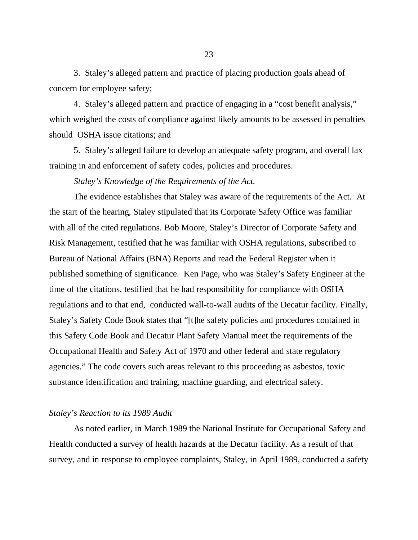3. Staley's alleged pattern and practice of placing production goals ahead of concern for employee safety;

4. Staley's alleged pattern and practice of engaging in a "cost benefit analysis," which weighed the costs of compliance against likely amounts to be assessed in penalties should OSHA issue citations; and

5. Staley's alleged failure to develop an adequate safety program, and overall lax training in and enforcement of safety codes, policies and procedures.

*Staley's Knowledge of the Requirements of the Act.*

The evidence establishes that Staley was aware of the requirements of the Act. At the start of the hearing, Staley stipulated that its Corporate Safety Office was familiar with all of the cited regulations. Bob Moore, Staley's Director of Corporate Safety and Risk Management, testified that he was familiar with OSHA regulations, subscribed to Bureau of National Affairs (BNA) Reports and read the Federal Register when it published something of significance. Ken Page, who was Staley's Safety Engineer at the time of the citations, testified that he had responsibility for compliance with OSHA regulations and to that end, conducted wall-to-wall audits of the Decatur facility. Finally, Staley's Safety Code Book states that "[t]he safety policies and procedures contained in this Safety Code Book and Decatur Plant Safety Manual meet the requirements of the Occupational Health and Safety Act of 1970 and other federal and state regulatory agencies." The code covers such areas relevant to this proceeding as asbestos, toxic substance identification and training, machine guarding, and electrical safety.

#### *Staley's Reaction to its 1989 Audit*

As noted earlier, in March 1989 the National Institute for Occupational Safety and Health conducted a survey of health hazards at the Decatur facility. As a result of that survey, and in response to employee complaints, Staley, in April 1989, conducted a safety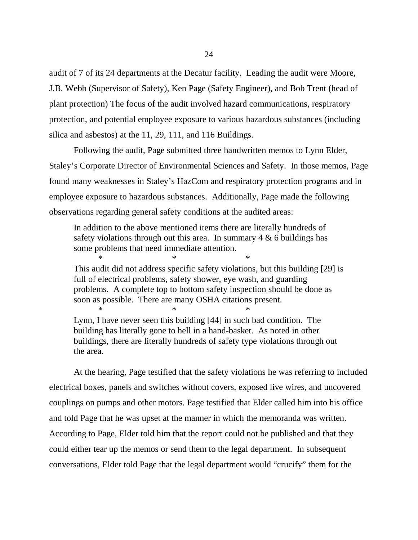audit of 7 of its 24 departments at the Decatur facility. Leading the audit were Moore, J.B. Webb (Supervisor of Safety), Ken Page (Safety Engineer), and Bob Trent (head of plant protection) The focus of the audit involved hazard communications, respiratory protection, and potential employee exposure to various hazardous substances (including silica and asbestos) at the 11, 29, 111, and 116 Buildings.

Following the audit, Page submitted three handwritten memos to Lynn Elder, Staley's Corporate Director of Environmental Sciences and Safety. In those memos, Page found many weaknesses in Staley's HazCom and respiratory protection programs and in employee exposure to hazardous substances. Additionally, Page made the following observations regarding general safety conditions at the audited areas:

In addition to the above mentioned items there are literally hundreds of safety violations through out this area. In summary  $4 \& 6$  buildings has some problems that need immediate attention.

 $*$  \*  $*$  \* This audit did not address specific safety violations, but this building [29] is full of electrical problems, safety shower, eye wash, and guarding problems. A complete top to bottom safety inspection should be done as soon as possible. There are many OSHA citations present.

Lynn, I have never seen this building [44] in such bad condition. The building has literally gone to hell in a hand-basket. As noted in other buildings, there are literally hundreds of safety type violations through out the area.

 $*$   $*$ 

At the hearing, Page testified that the safety violations he was referring to included electrical boxes, panels and switches without covers, exposed live wires, and uncovered couplings on pumps and other motors. Page testified that Elder called him into his office and told Page that he was upset at the manner in which the memoranda was written. According to Page, Elder told him that the report could not be published and that they could either tear up the memos or send them to the legal department. In subsequent conversations, Elder told Page that the legal department would "crucify" them for the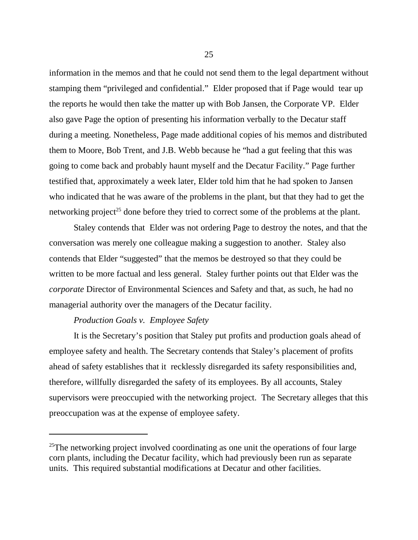information in the memos and that he could not send them to the legal department without stamping them "privileged and confidential." Elder proposed that if Page would tear up the reports he would then take the matter up with Bob Jansen, the Corporate VP. Elder also gave Page the option of presenting his information verbally to the Decatur staff during a meeting. Nonetheless, Page made additional copies of his memos and distributed them to Moore, Bob Trent, and J.B. Webb because he "had a gut feeling that this was going to come back and probably haunt myself and the Decatur Facility." Page further testified that, approximately a week later, Elder told him that he had spoken to Jansen who indicated that he was aware of the problems in the plant, but that they had to get the networking project<sup>25</sup> done before they tried to correct some of the problems at the plant.

Staley contends that Elder was not ordering Page to destroy the notes, and that the conversation was merely one colleague making a suggestion to another. Staley also contends that Elder "suggested" that the memos be destroyed so that they could be written to be more factual and less general. Staley further points out that Elder was the *corporate* Director of Environmental Sciences and Safety and that, as such, he had no managerial authority over the managers of the Decatur facility.

### *Production Goals v. Employee Safety*

It is the Secretary's position that Staley put profits and production goals ahead of employee safety and health. The Secretary contends that Staley's placement of profits ahead of safety establishes that it recklessly disregarded its safety responsibilities and, therefore, willfully disregarded the safety of its employees. By all accounts, Staley supervisors were preoccupied with the networking project. The Secretary alleges that this preoccupation was at the expense of employee safety.

 $25$ The networking project involved coordinating as one unit the operations of four large corn plants, including the Decatur facility, which had previously been run as separate units. This required substantial modifications at Decatur and other facilities.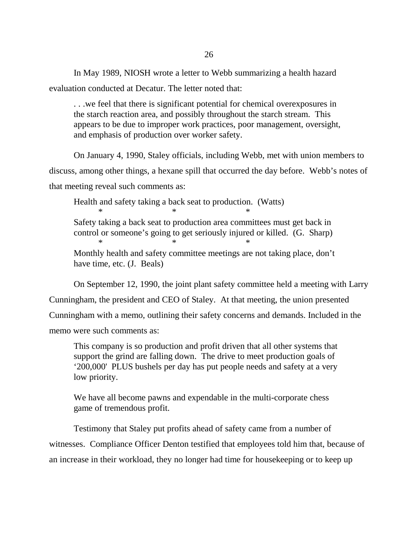In May 1989, NIOSH wrote a letter to Webb summarizing a health hazard evaluation conducted at Decatur. The letter noted that:

. . .we feel that there is significant potential for chemical overexposures in the starch reaction area, and possibly throughout the starch stream. This appears to be due to improper work practices, poor management, oversight, and emphasis of production over worker safety.

On January 4, 1990, Staley officials, including Webb, met with union members to discuss, among other things, a hexane spill that occurred the day before. Webb's notes of that meeting reveal such comments as:

Health and safety taking a back seat to production. (Watts)  $*$   $*$ Safety taking a back seat to production area committees must get back in control or someone's going to get seriously injured or killed. (G. Sharp)  $*$   $*$ 

Monthly health and safety committee meetings are not taking place, don't have time, etc. (J. Beals)

On September 12, 1990, the joint plant safety committee held a meeting with Larry

Cunningham, the president and CEO of Staley. At that meeting, the union presented Cunningham with a memo, outlining their safety concerns and demands. Included in the memo were such comments as:

This company is so production and profit driven that all other systems that support the grind are falling down. The drive to meet production goals of '200,000' PLUS bushels per day has put people needs and safety at a very low priority.

We have all become pawns and expendable in the multi-corporate chess game of tremendous profit.

Testimony that Staley put profits ahead of safety came from a number of witnesses. Compliance Officer Denton testified that employees told him that, because of an increase in their workload, they no longer had time for housekeeping or to keep up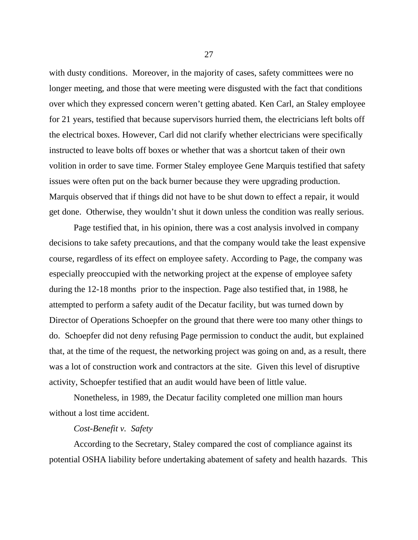with dusty conditions. Moreover, in the majority of cases, safety committees were no longer meeting, and those that were meeting were disgusted with the fact that conditions over which they expressed concern weren't getting abated. Ken Carl, an Staley employee for 21 years, testified that because supervisors hurried them, the electricians left bolts off the electrical boxes. However, Carl did not clarify whether electricians were specifically instructed to leave bolts off boxes or whether that was a shortcut taken of their own volition in order to save time. Former Staley employee Gene Marquis testified that safety issues were often put on the back burner because they were upgrading production. Marquis observed that if things did not have to be shut down to effect a repair, it would get done. Otherwise, they wouldn't shut it down unless the condition was really serious.

Page testified that, in his opinion, there was a cost analysis involved in company decisions to take safety precautions, and that the company would take the least expensive course, regardless of its effect on employee safety. According to Page, the company was especially preoccupied with the networking project at the expense of employee safety during the 12-18 months prior to the inspection. Page also testified that, in 1988, he attempted to perform a safety audit of the Decatur facility, but was turned down by Director of Operations Schoepfer on the ground that there were too many other things to do. Schoepfer did not deny refusing Page permission to conduct the audit, but explained that, at the time of the request, the networking project was going on and, as a result, there was a lot of construction work and contractors at the site. Given this level of disruptive activity, Schoepfer testified that an audit would have been of little value.

Nonetheless, in 1989, the Decatur facility completed one million man hours without a lost time accident.

### *Cost-Benefit v. Safety*

According to the Secretary, Staley compared the cost of compliance against its potential OSHA liability before undertaking abatement of safety and health hazards. This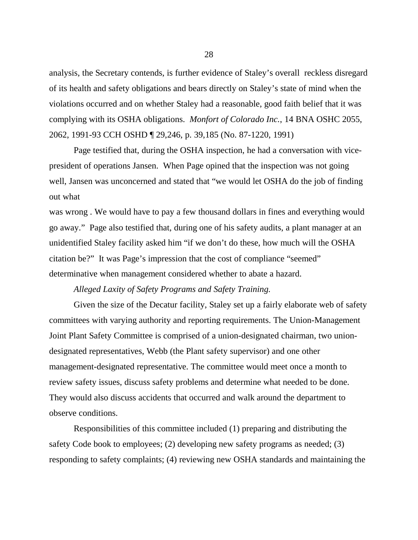analysis, the Secretary contends, is further evidence of Staley's overall reckless disregard of its health and safety obligations and bears directly on Staley's state of mind when the violations occurred and on whether Staley had a reasonable, good faith belief that it was complying with its OSHA obligations. *Monfort of Colorado Inc.*, 14 BNA OSHC 2055, 2062, 1991-93 CCH OSHD ¶ 29,246, p. 39,185 (No. 87-1220, 1991)

Page testified that, during the OSHA inspection, he had a conversation with vicepresident of operations Jansen. When Page opined that the inspection was not going well, Jansen was unconcerned and stated that "we would let OSHA do the job of finding out what

was wrong . We would have to pay a few thousand dollars in fines and everything would go away." Page also testified that, during one of his safety audits, a plant manager at an unidentified Staley facility asked him "if we don't do these, how much will the OSHA citation be?" It was Page's impression that the cost of compliance "seemed" determinative when management considered whether to abate a hazard.

## *Alleged Laxity of Safety Programs and Safety Training.*

Given the size of the Decatur facility, Staley set up a fairly elaborate web of safety committees with varying authority and reporting requirements. The Union-Management Joint Plant Safety Committee is comprised of a union-designated chairman, two uniondesignated representatives, Webb (the Plant safety supervisor) and one other management-designated representative. The committee would meet once a month to review safety issues, discuss safety problems and determine what needed to be done. They would also discuss accidents that occurred and walk around the department to observe conditions.

Responsibilities of this committee included (1) preparing and distributing the safety Code book to employees; (2) developing new safety programs as needed; (3) responding to safety complaints; (4) reviewing new OSHA standards and maintaining the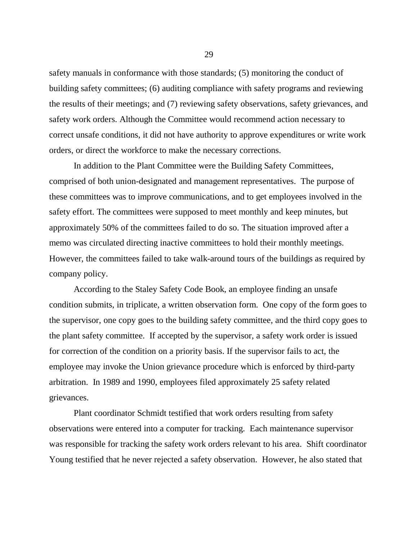safety manuals in conformance with those standards; (5) monitoring the conduct of building safety committees; (6) auditing compliance with safety programs and reviewing the results of their meetings; and (7) reviewing safety observations, safety grievances, and safety work orders. Although the Committee would recommend action necessary to correct unsafe conditions, it did not have authority to approve expenditures or write work orders, or direct the workforce to make the necessary corrections.

In addition to the Plant Committee were the Building Safety Committees, comprised of both union-designated and management representatives. The purpose of these committees was to improve communications, and to get employees involved in the safety effort. The committees were supposed to meet monthly and keep minutes, but approximately 50% of the committees failed to do so. The situation improved after a memo was circulated directing inactive committees to hold their monthly meetings. However, the committees failed to take walk-around tours of the buildings as required by company policy.

According to the Staley Safety Code Book, an employee finding an unsafe condition submits, in triplicate, a written observation form. One copy of the form goes to the supervisor, one copy goes to the building safety committee, and the third copy goes to the plant safety committee. If accepted by the supervisor, a safety work order is issued for correction of the condition on a priority basis. If the supervisor fails to act, the employee may invoke the Union grievance procedure which is enforced by third-party arbitration. In 1989 and 1990, employees filed approximately 25 safety related grievances.

Plant coordinator Schmidt testified that work orders resulting from safety observations were entered into a computer for tracking. Each maintenance supervisor was responsible for tracking the safety work orders relevant to his area. Shift coordinator Young testified that he never rejected a safety observation. However, he also stated that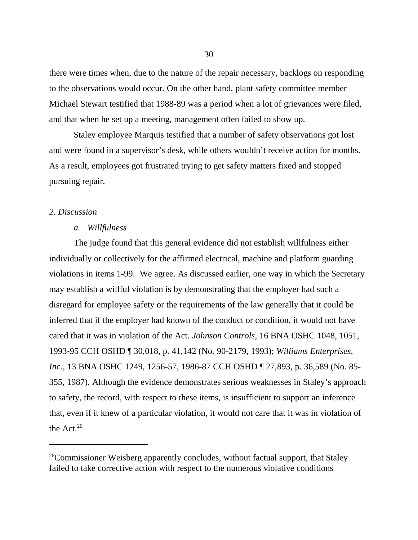there were times when, due to the nature of the repair necessary, backlogs on responding to the observations would occur. On the other hand, plant safety committee member Michael Stewart testified that 1988-89 was a period when a lot of grievances were filed, and that when he set up a meeting, management often failed to show up.

Staley employee Marquis testified that a number of safety observations got lost and were found in a supervisor's desk, while others wouldn't receive action for months. As a result, employees got frustrated trying to get safety matters fixed and stopped pursuing repair.

#### *2. Discussion*

#### *a. Willfulness*

The judge found that this general evidence did not establish willfulness either individually or collectively for the affirmed electrical, machine and platform guarding violations in items 1-99. We agree. As discussed earlier, one way in which the Secretary may establish a willful violation is by demonstrating that the employer had such a disregard for employee safety or the requirements of the law generally that it could be inferred that if the employer had known of the conduct or condition, it would not have cared that it was in violation of the Act. *Johnson Controls*, 16 BNA OSHC 1048, 1051, 1993-95 CCH OSHD ¶ 30,018, p. 41,142 (No. 90-2179, 1993); *Williams Enterprises, Inc.*, 13 BNA OSHC 1249, 1256-57, 1986-87 CCH OSHD ¶ 27,893, p. 36,589 (No. 85- 355, 1987). Although the evidence demonstrates serious weaknesses in Staley's approach to safety, the record, with respect to these items, is insufficient to support an inference that, even if it knew of a particular violation, it would not care that it was in violation of the Act.<sup>26</sup>

<sup>&</sup>lt;sup>26</sup>Commissioner Weisberg apparently concludes, without factual support, that Staley failed to take corrective action with respect to the numerous violative conditions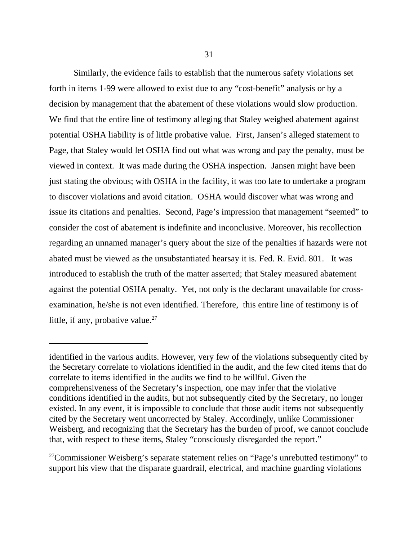Similarly, the evidence fails to establish that the numerous safety violations set forth in items 1-99 were allowed to exist due to any "cost-benefit" analysis or by a decision by management that the abatement of these violations would slow production. We find that the entire line of testimony alleging that Staley weighed abatement against potential OSHA liability is of little probative value. First, Jansen's alleged statement to Page, that Staley would let OSHA find out what was wrong and pay the penalty, must be viewed in context. It was made during the OSHA inspection. Jansen might have been just stating the obvious; with OSHA in the facility, it was too late to undertake a program to discover violations and avoid citation. OSHA would discover what was wrong and issue its citations and penalties. Second, Page's impression that management "seemed" to consider the cost of abatement is indefinite and inconclusive. Moreover, his recollection regarding an unnamed manager's query about the size of the penalties if hazards were not abated must be viewed as the unsubstantiated hearsay it is. Fed. R. Evid. 801. It was introduced to establish the truth of the matter asserted; that Staley measured abatement against the potential OSHA penalty. Yet, not only is the declarant unavailable for crossexamination, he/she is not even identified. Therefore, this entire line of testimony is of little, if any, probative value. $^{27}$ 

 $27$ Commissioner Weisberg's separate statement relies on "Page's unrebutted testimony" to support his view that the disparate guardrail, electrical, and machine guarding violations

identified in the various audits. However, very few of the violations subsequently cited by the Secretary correlate to violations identified in the audit, and the few cited items that do correlate to items identified in the audits we find to be willful. Given the comprehensiveness of the Secretary's inspection, one may infer that the violative conditions identified in the audits, but not subsequently cited by the Secretary, no longer existed. In any event, it is impossible to conclude that those audit items not subsequently cited by the Secretary went uncorrected by Staley. Accordingly, unlike Commissioner Weisberg, and recognizing that the Secretary has the burden of proof, we cannot conclude that, with respect to these items, Staley "consciously disregarded the report."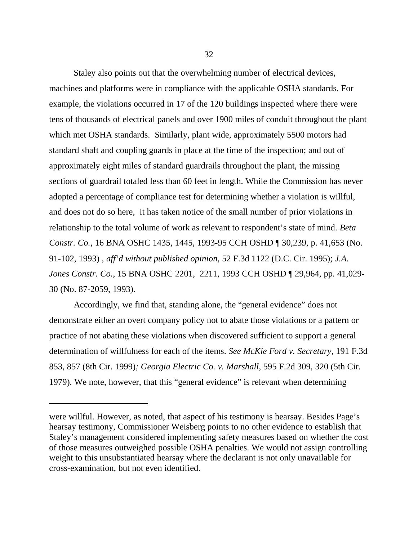Staley also points out that the overwhelming number of electrical devices, machines and platforms were in compliance with the applicable OSHA standards. For example, the violations occurred in 17 of the 120 buildings inspected where there were tens of thousands of electrical panels and over 1900 miles of conduit throughout the plant which met OSHA standards. Similarly, plant wide, approximately 5500 motors had standard shaft and coupling guards in place at the time of the inspection; and out of approximately eight miles of standard guardrails throughout the plant, the missing sections of guardrail totaled less than 60 feet in length. While the Commission has never adopted a percentage of compliance test for determining whether a violation is willful, and does not do so here, it has taken notice of the small number of prior violations in relationship to the total volume of work as relevant to respondent's state of mind. *Beta Constr. Co.*, 16 BNA OSHC 1435, 1445, 1993-95 CCH OSHD ¶ 30,239, p. 41,653 (No. 91-102, 1993) , *aff'd without published opinion*, 52 F.3d 1122 (D.C. Cir. 1995); *J.A. Jones Constr. Co.*, 15 BNA OSHC 2201, 2211, 1993 CCH OSHD ¶ 29,964, pp. 41,029- 30 (No. 87-2059, 1993).

Accordingly, we find that, standing alone, the "general evidence" does not demonstrate either an overt company policy not to abate those violations or a pattern or practice of not abating these violations when discovered sufficient to support a general determination of willfulness for each of the items. *See McKie Ford v. Secretary*, 191 F.3d 853, 857 (8th Cir. 1999)*; Georgia Electric Co. v. Marshall*, 595 F.2d 309, 320 (5th Cir. 1979). We note, however, that this "general evidence" is relevant when determining

were willful. However, as noted, that aspect of his testimony is hearsay. Besides Page's hearsay testimony, Commissioner Weisberg points to no other evidence to establish that Staley's management considered implementing safety measures based on whether the cost of those measures outweighed possible OSHA penalties. We would not assign controlling weight to this unsubstantiated hearsay where the declarant is not only unavailable for cross-examination, but not even identified.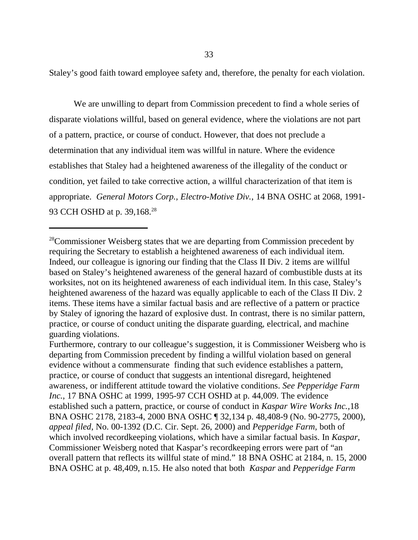Staley's good faith toward employee safety and, therefore, the penalty for each violation.

We are unwilling to depart from Commission precedent to find a whole series of disparate violations willful, based on general evidence, where the violations are not part of a pattern, practice, or course of conduct. However, that does not preclude a determination that any individual item was willful in nature. Where the evidence establishes that Staley had a heightened awareness of the illegality of the conduct or condition, yet failed to take corrective action, a willful characterization of that item is appropriate. *General Motors Corp., Electro-Motive Div.*, 14 BNA OSHC at 2068, 1991- 93 CCH OSHD at p. 39,168.<sup>28</sup>

Furthermore, contrary to our colleague's suggestion, it is Commissioner Weisberg who is departing from Commission precedent by finding a willful violation based on general evidence without a commensurate finding that such evidence establishes a pattern, practice, or course of conduct that suggests an intentional disregard, heightened awareness, or indifferent attitude toward the violative conditions. *See Pepperidge Farm Inc.*, 17 BNA OSHC at 1999, 1995-97 CCH OSHD at p. 44,009. The evidence established such a pattern, practice, or course of conduct in *Kaspar Wire Works Inc.,*18 BNA OSHC 2178, 2183-4, 2000 BNA OSHC ¶ 32,134 p. 48,408-9 (No. 90-2775, 2000), *appeal filed*, No. 00-1392 (D.C. Cir. Sept. 26, 2000) and *Pepperidge Farm*, both of which involved recordkeeping violations, which have a similar factual basis. In *Kaspar*, Commissioner Weisberg noted that Kaspar's recordkeeping errors were part of "an overall pattern that reflects its willful state of mind." 18 BNA OSHC at 2184, n. 15, 2000 BNA OSHC at p. 48,409, n.15. He also noted that both *Kaspar* and *Pepperidge Farm*

<sup>&</sup>lt;sup>28</sup>Commissioner Weisberg states that we are departing from Commission precedent by requiring the Secretary to establish a heightened awareness of each individual item. Indeed, our colleague is ignoring our finding that the Class II Div. 2 items are willful based on Staley's heightened awareness of the general hazard of combustible dusts at its worksites, not on its heightened awareness of each individual item. In this case, Staley's heightened awareness of the hazard was equally applicable to each of the Class II Div. 2 items. These items have a similar factual basis and are reflective of a pattern or practice by Staley of ignoring the hazard of explosive dust. In contrast, there is no similar pattern, practice, or course of conduct uniting the disparate guarding, electrical, and machine guarding violations.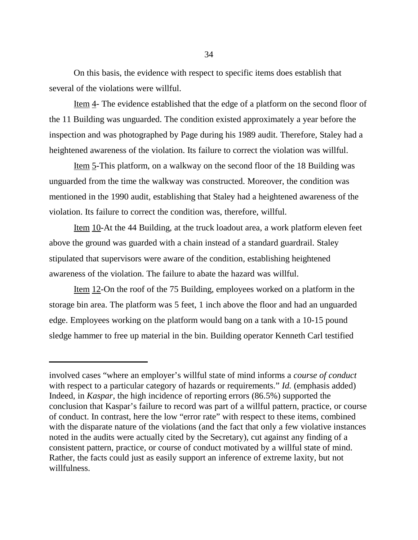On this basis, the evidence with respect to specific items does establish that several of the violations were willful.

Item 4- The evidence established that the edge of a platform on the second floor of the 11 Building was unguarded. The condition existed approximately a year before the inspection and was photographed by Page during his 1989 audit. Therefore, Staley had a heightened awareness of the violation. Its failure to correct the violation was willful.

Item 5-This platform, on a walkway on the second floor of the 18 Building was unguarded from the time the walkway was constructed. Moreover, the condition was mentioned in the 1990 audit, establishing that Staley had a heightened awareness of the violation. Its failure to correct the condition was, therefore, willful.

Item 10-At the 44 Building, at the truck loadout area, a work platform eleven feet above the ground was guarded with a chain instead of a standard guardrail. Staley stipulated that supervisors were aware of the condition, establishing heightened awareness of the violation. The failure to abate the hazard was willful.

Item 12-On the roof of the 75 Building, employees worked on a platform in the storage bin area. The platform was 5 feet, 1 inch above the floor and had an unguarded edge. Employees working on the platform would bang on a tank with a 10-15 pound sledge hammer to free up material in the bin. Building operator Kenneth Carl testified

involved cases "where an employer's willful state of mind informs a *course of conduct* with respect to a particular category of hazards or requirements." *Id.* (emphasis added) Indeed, in *Kaspar*, the high incidence of reporting errors (86.5%) supported the conclusion that Kaspar's failure to record was part of a willful pattern, practice, or course of conduct. In contrast, here the low "error rate" with respect to these items, combined with the disparate nature of the violations (and the fact that only a few violative instances noted in the audits were actually cited by the Secretary), cut against any finding of a consistent pattern, practice, or course of conduct motivated by a willful state of mind. Rather, the facts could just as easily support an inference of extreme laxity, but not willfulness.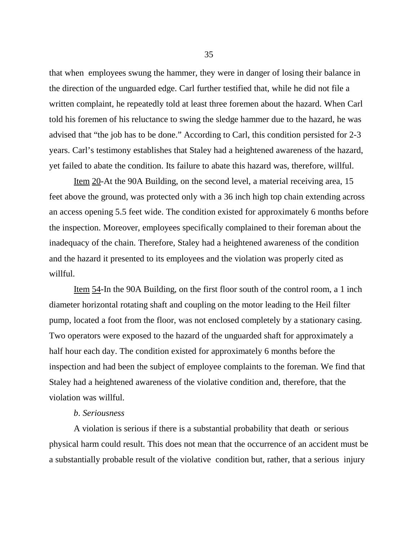that when employees swung the hammer, they were in danger of losing their balance in the direction of the unguarded edge. Carl further testified that, while he did not file a written complaint, he repeatedly told at least three foremen about the hazard. When Carl told his foremen of his reluctance to swing the sledge hammer due to the hazard, he was advised that "the job has to be done." According to Carl, this condition persisted for 2-3 years. Carl's testimony establishes that Staley had a heightened awareness of the hazard, yet failed to abate the condition. Its failure to abate this hazard was, therefore, willful.

Item 20-At the 90A Building, on the second level, a material receiving area, 15 feet above the ground, was protected only with a 36 inch high top chain extending across an access opening 5.5 feet wide. The condition existed for approximately 6 months before the inspection. Moreover, employees specifically complained to their foreman about the inadequacy of the chain. Therefore, Staley had a heightened awareness of the condition and the hazard it presented to its employees and the violation was properly cited as willful.

Item 54-In the 90A Building, on the first floor south of the control room, a 1 inch diameter horizontal rotating shaft and coupling on the motor leading to the Heil filter pump, located a foot from the floor, was not enclosed completely by a stationary casing. Two operators were exposed to the hazard of the unguarded shaft for approximately a half hour each day. The condition existed for approximately 6 months before the inspection and had been the subject of employee complaints to the foreman. We find that Staley had a heightened awareness of the violative condition and, therefore, that the violation was willful.

#### *b*. *Seriousness*

A violation is serious if there is a substantial probability that death or serious physical harm could result. This does not mean that the occurrence of an accident must be a substantially probable result of the violative condition but, rather, that a serious injury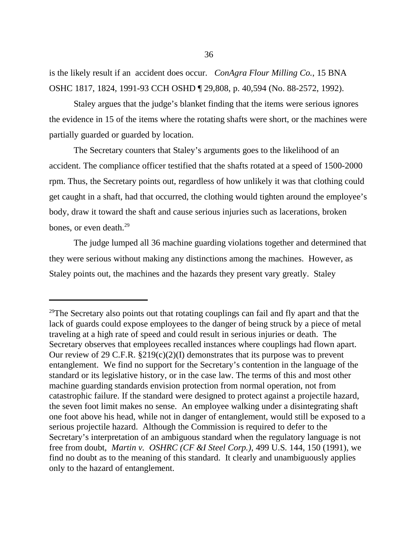is the likely result if an accident does occur. *ConAgra Flour Milling Co.*, 15 BNA OSHC 1817, 1824, 1991-93 CCH OSHD ¶ 29,808, p. 40,594 (No. 88-2572, 1992).

Staley argues that the judge's blanket finding that the items were serious ignores the evidence in 15 of the items where the rotating shafts were short, or the machines were partially guarded or guarded by location.

The Secretary counters that Staley's arguments goes to the likelihood of an accident. The compliance officer testified that the shafts rotated at a speed of 1500-2000 rpm. Thus, the Secretary points out, regardless of how unlikely it was that clothing could get caught in a shaft, had that occurred, the clothing would tighten around the employee's body, draw it toward the shaft and cause serious injuries such as lacerations, broken bones, or even death.<sup>29</sup>

The judge lumped all 36 machine guarding violations together and determined that they were serious without making any distinctions among the machines. However, as Staley points out, the machines and the hazards they present vary greatly. Staley

<sup>&</sup>lt;sup>29</sup>The Secretary also points out that rotating couplings can fail and fly apart and that the lack of guards could expose employees to the danger of being struck by a piece of metal traveling at a high rate of speed and could result in serious injuries or death. The Secretary observes that employees recalled instances where couplings had flown apart. Our review of 29 C.F.R.  $\S219(c)(2)(I)$  demonstrates that its purpose was to prevent entanglement. We find no support for the Secretary's contention in the language of the standard or its legislative history, or in the case law. The terms of this and most other machine guarding standards envision protection from normal operation, not from catastrophic failure. If the standard were designed to protect against a projectile hazard, the seven foot limit makes no sense. An employee walking under a disintegrating shaft one foot above his head, while not in danger of entanglement, would still be exposed to a serious projectile hazard. Although the Commission is required to defer to the Secretary's interpretation of an ambiguous standard when the regulatory language is not free from doubt, *Martin v. OSHRC (CF &I Steel Corp.)*, 499 U.S. 144, 150 (1991), we find no doubt as to the meaning of this standard. It clearly and unambiguously applies only to the hazard of entanglement.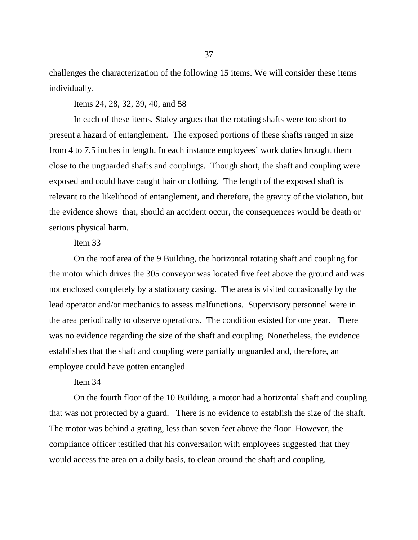challenges the characterization of the following 15 items. We will consider these items individually.

#### Items 24, 28, 32, 39, 40, and 58

In each of these items, Staley argues that the rotating shafts were too short to present a hazard of entanglement. The exposed portions of these shafts ranged in size from 4 to 7.5 inches in length. In each instance employees' work duties brought them close to the unguarded shafts and couplings. Though short, the shaft and coupling were exposed and could have caught hair or clothing. The length of the exposed shaft is relevant to the likelihood of entanglement, and therefore, the gravity of the violation, but the evidence shows that, should an accident occur, the consequences would be death or serious physical harm.

### Item 33

On the roof area of the 9 Building, the horizontal rotating shaft and coupling for the motor which drives the 305 conveyor was located five feet above the ground and was not enclosed completely by a stationary casing. The area is visited occasionally by the lead operator and/or mechanics to assess malfunctions. Supervisory personnel were in the area periodically to observe operations. The condition existed for one year. There was no evidence regarding the size of the shaft and coupling. Nonetheless, the evidence establishes that the shaft and coupling were partially unguarded and, therefore, an employee could have gotten entangled.

# Item<sub>34</sub>

On the fourth floor of the 10 Building, a motor had a horizontal shaft and coupling that was not protected by a guard. There is no evidence to establish the size of the shaft. The motor was behind a grating, less than seven feet above the floor. However, the compliance officer testified that his conversation with employees suggested that they would access the area on a daily basis, to clean around the shaft and coupling.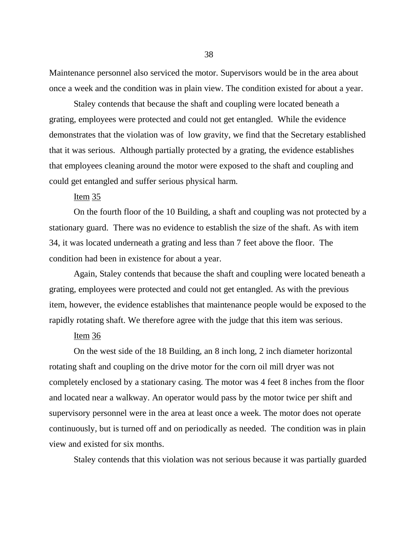Maintenance personnel also serviced the motor. Supervisors would be in the area about once a week and the condition was in plain view. The condition existed for about a year.

Staley contends that because the shaft and coupling were located beneath a grating, employees were protected and could not get entangled. While the evidence demonstrates that the violation was of low gravity, we find that the Secretary established that it was serious. Although partially protected by a grating, the evidence establishes that employees cleaning around the motor were exposed to the shaft and coupling and could get entangled and suffer serious physical harm.

### Item 35

On the fourth floor of the 10 Building, a shaft and coupling was not protected by a stationary guard. There was no evidence to establish the size of the shaft. As with item 34, it was located underneath a grating and less than 7 feet above the floor. The condition had been in existence for about a year.

Again, Staley contends that because the shaft and coupling were located beneath a grating, employees were protected and could not get entangled. As with the previous item, however, the evidence establishes that maintenance people would be exposed to the rapidly rotating shaft. We therefore agree with the judge that this item was serious.

# Item 36

On the west side of the 18 Building, an 8 inch long, 2 inch diameter horizontal rotating shaft and coupling on the drive motor for the corn oil mill dryer was not completely enclosed by a stationary casing. The motor was 4 feet 8 inches from the floor and located near a walkway. An operator would pass by the motor twice per shift and supervisory personnel were in the area at least once a week. The motor does not operate continuously, but is turned off and on periodically as needed. The condition was in plain view and existed for six months.

Staley contends that this violation was not serious because it was partially guarded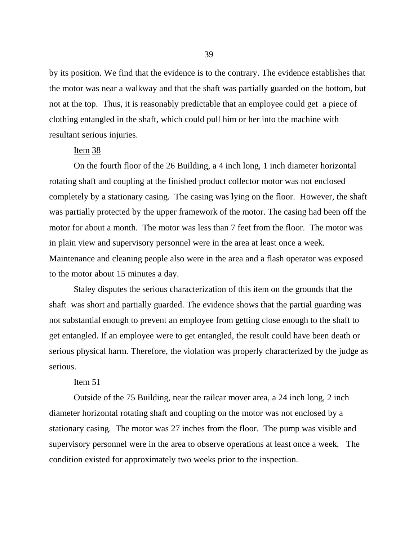by its position. We find that the evidence is to the contrary. The evidence establishes that the motor was near a walkway and that the shaft was partially guarded on the bottom, but not at the top. Thus, it is reasonably predictable that an employee could get a piece of clothing entangled in the shaft, which could pull him or her into the machine with resultant serious injuries.

# Item 38

On the fourth floor of the 26 Building, a 4 inch long, 1 inch diameter horizontal rotating shaft and coupling at the finished product collector motor was not enclosed completely by a stationary casing. The casing was lying on the floor. However, the shaft was partially protected by the upper framework of the motor. The casing had been off the motor for about a month. The motor was less than 7 feet from the floor. The motor was in plain view and supervisory personnel were in the area at least once a week. Maintenance and cleaning people also were in the area and a flash operator was exposed to the motor about 15 minutes a day.

Staley disputes the serious characterization of this item on the grounds that the shaft was short and partially guarded. The evidence shows that the partial guarding was not substantial enough to prevent an employee from getting close enough to the shaft to get entangled. If an employee were to get entangled, the result could have been death or serious physical harm. Therefore, the violation was properly characterized by the judge as serious.

# Item 51

Outside of the 75 Building, near the railcar mover area, a 24 inch long, 2 inch diameter horizontal rotating shaft and coupling on the motor was not enclosed by a stationary casing. The motor was 27 inches from the floor. The pump was visible and supervisory personnel were in the area to observe operations at least once a week. The condition existed for approximately two weeks prior to the inspection.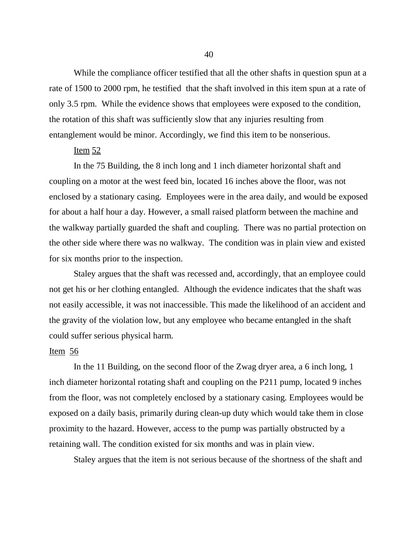While the compliance officer testified that all the other shafts in question spun at a rate of 1500 to 2000 rpm, he testified that the shaft involved in this item spun at a rate of only 3.5 rpm. While the evidence shows that employees were exposed to the condition, the rotation of this shaft was sufficiently slow that any injuries resulting from entanglement would be minor. Accordingly, we find this item to be nonserious.

# Item 52

In the 75 Building, the 8 inch long and 1 inch diameter horizontal shaft and coupling on a motor at the west feed bin, located 16 inches above the floor, was not enclosed by a stationary casing. Employees were in the area daily, and would be exposed for about a half hour a day. However, a small raised platform between the machine and the walkway partially guarded the shaft and coupling. There was no partial protection on the other side where there was no walkway. The condition was in plain view and existed for six months prior to the inspection.

Staley argues that the shaft was recessed and, accordingly, that an employee could not get his or her clothing entangled. Although the evidence indicates that the shaft was not easily accessible, it was not inaccessible. This made the likelihood of an accident and the gravity of the violation low, but any employee who became entangled in the shaft could suffer serious physical harm.

### Item 56

In the 11 Building, on the second floor of the Zwag dryer area, a 6 inch long, 1 inch diameter horizontal rotating shaft and coupling on the P211 pump, located 9 inches from the floor, was not completely enclosed by a stationary casing. Employees would be exposed on a daily basis, primarily during clean-up duty which would take them in close proximity to the hazard. However, access to the pump was partially obstructed by a retaining wall. The condition existed for six months and was in plain view.

Staley argues that the item is not serious because of the shortness of the shaft and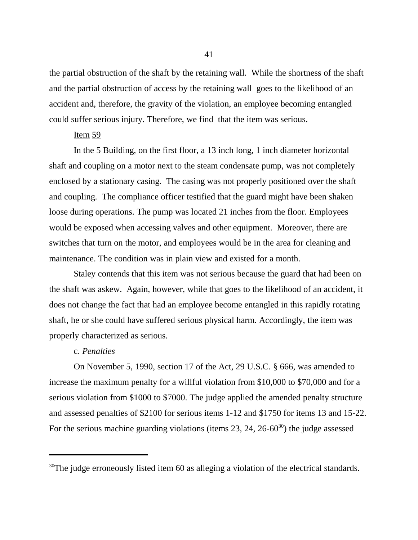the partial obstruction of the shaft by the retaining wall. While the shortness of the shaft and the partial obstruction of access by the retaining wall goes to the likelihood of an accident and, therefore, the gravity of the violation, an employee becoming entangled could suffer serious injury. Therefore, we find that the item was serious.

### Item 59

In the 5 Building, on the first floor, a 13 inch long, 1 inch diameter horizontal shaft and coupling on a motor next to the steam condensate pump, was not completely enclosed by a stationary casing. The casing was not properly positioned over the shaft and coupling. The compliance officer testified that the guard might have been shaken loose during operations. The pump was located 21 inches from the floor. Employees would be exposed when accessing valves and other equipment. Moreover, there are switches that turn on the motor, and employees would be in the area for cleaning and maintenance. The condition was in plain view and existed for a month.

Staley contends that this item was not serious because the guard that had been on the shaft was askew. Again, however, while that goes to the likelihood of an accident, it does not change the fact that had an employee become entangled in this rapidly rotating shaft, he or she could have suffered serious physical harm. Accordingly, the item was properly characterized as serious.

#### c. *Penalties*

On November 5, 1990, section 17 of the Act, 29 U.S.C. § 666, was amended to increase the maximum penalty for a willful violation from \$10,000 to \$70,000 and for a serious violation from \$1000 to \$7000. The judge applied the amended penalty structure and assessed penalties of \$2100 for serious items 1-12 and \$1750 for items 13 and 15-22. For the serious machine guarding violations (items  $23$ ,  $24$ ,  $26-60^{30}$ ) the judge assessed

<sup>&</sup>lt;sup>30</sup>The judge erroneously listed item 60 as alleging a violation of the electrical standards.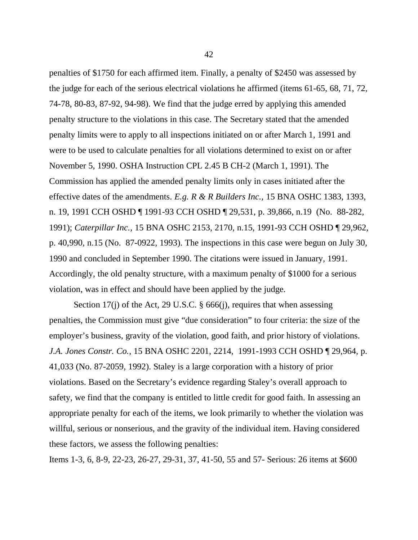penalties of \$1750 for each affirmed item. Finally, a penalty of \$2450 was assessed by the judge for each of the serious electrical violations he affirmed (items 61-65, 68, 71, 72, 74-78, 80-83, 87-92, 94-98). We find that the judge erred by applying this amended penalty structure to the violations in this case. The Secretary stated that the amended penalty limits were to apply to all inspections initiated on or after March 1, 1991 and were to be used to calculate penalties for all violations determined to exist on or after November 5, 1990. OSHA Instruction CPL 2.45 B CH-2 (March 1, 1991). The Commission has applied the amended penalty limits only in cases initiated after the effective dates of the amendments. *E.g. R & R Builders Inc.,* 15 BNA OSHC 1383, 1393, n. 19, 1991 CCH OSHD ¶ 1991-93 CCH OSHD ¶ 29,531, p. 39,866, n.19 (No. 88-282, 1991); *Caterpillar Inc.,* 15 BNA OSHC 2153, 2170, n.15, 1991-93 CCH OSHD ¶ 29,962, p. 40,990, n.15 (No. 87-0922, 1993). The inspections in this case were begun on July 30, 1990 and concluded in September 1990. The citations were issued in January, 1991. Accordingly, the old penalty structure, with a maximum penalty of \$1000 for a serious violation, was in effect and should have been applied by the judge.

Section 17(j) of the Act, 29 U.S.C. § 666(j), requires that when assessing penalties, the Commission must give "due consideration" to four criteria: the size of the employer's business, gravity of the violation, good faith, and prior history of violations. *J.A. Jones Constr. Co.*, 15 BNA OSHC 2201, 2214, 1991-1993 CCH OSHD ¶ 29,964, p. 41,033 (No. 87-2059, 1992). Staley is a large corporation with a history of prior violations. Based on the Secretary's evidence regarding Staley's overall approach to safety, we find that the company is entitled to little credit for good faith. In assessing an appropriate penalty for each of the items, we look primarily to whether the violation was willful, serious or nonserious, and the gravity of the individual item. Having considered these factors, we assess the following penalties:

Items 1-3, 6, 8-9, 22-23, 26-27, 29-31, 37, 41-50, 55 and 57- Serious: 26 items at \$600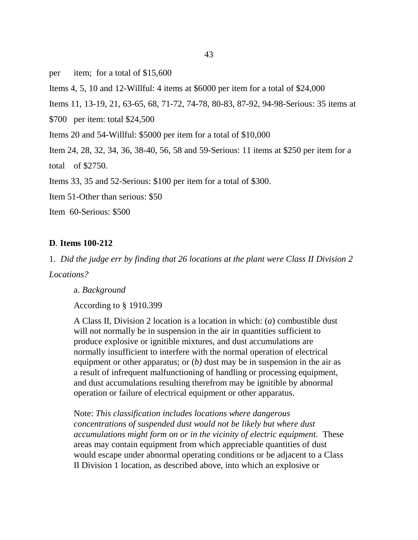per item; for a total of \$15,600

Items 4, 5, 10 and 12-Willful: 4 items at \$6000 per item for a total of \$24,000

Items 11, 13-19, 21, 63-65, 68, 71-72, 74-78, 80-83, 87-92, 94-98-Serious: 35 items at

\$700 per item: total \$24,500

Items 20 and 54-Willful: \$5000 per item for a total of \$10,000

Item 24, 28, 32, 34, 36, 38-40, 56, 58 and 59-Serious: 11 items at \$250 per item for a

total of \$2750.

Items 33, 35 and 52-Serious: \$100 per item for a total of \$300.

Item 51-Other than serious: \$50

Item 60-Serious: \$500

#### **D***.* **Items 100-212**

1. *Did the judge err by finding that 26 locations at the plant were Class II Division 2*

*Locations?*

a. *Background*

According to § 1910.399

A Class II, Division 2 location is a location in which: (*a*) combustible dust will not normally be in suspension in the air in quantities sufficient to produce explosive or ignitible mixtures, and dust accumulations are normally insufficient to interfere with the normal operation of electrical equipment or other apparatus; or (*b)* dust may be in suspension in the air as a result of infrequent malfunctioning of handling or processing equipment, and dust accumulations resulting therefrom may be ignitible by abnormal operation or failure of electrical equipment or other apparatus.

Note: *This classification includes locations where dangerous concentrations of suspended dust would not be likely but where dust accumulations might form on or in the vicinity of electric equipment*. These areas may contain equipment from which appreciable quantities of dust would escape under abnormal operating conditions or be adjacent to a Class II Division 1 location, as described above, into which an explosive or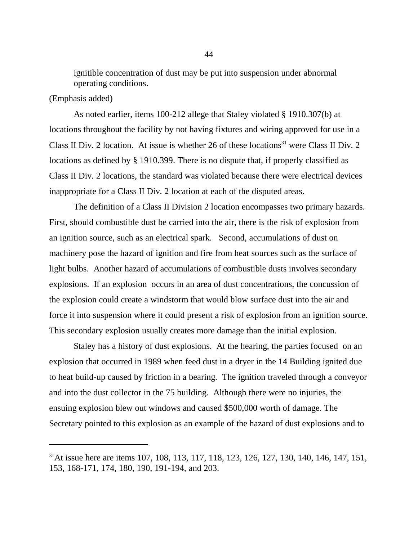ignitible concentration of dust may be put into suspension under abnormal operating conditions.

# (Emphasis added)

As noted earlier, items 100-212 allege that Staley violated § 1910.307(b) at locations throughout the facility by not having fixtures and wiring approved for use in a Class II Div. 2 location. At issue is whether 26 of these locations<sup>31</sup> were Class II Div. 2 locations as defined by § 1910.399. There is no dispute that, if properly classified as Class II Div. 2 locations, the standard was violated because there were electrical devices inappropriate for a Class II Div. 2 location at each of the disputed areas.

The definition of a Class II Division 2 location encompasses two primary hazards. First, should combustible dust be carried into the air, there is the risk of explosion from an ignition source, such as an electrical spark. Second, accumulations of dust on machinery pose the hazard of ignition and fire from heat sources such as the surface of light bulbs. Another hazard of accumulations of combustible dusts involves secondary explosions. If an explosion occurs in an area of dust concentrations, the concussion of the explosion could create a windstorm that would blow surface dust into the air and force it into suspension where it could present a risk of explosion from an ignition source. This secondary explosion usually creates more damage than the initial explosion.

Staley has a history of dust explosions. At the hearing, the parties focused on an explosion that occurred in 1989 when feed dust in a dryer in the 14 Building ignited due to heat build-up caused by friction in a bearing. The ignition traveled through a conveyor and into the dust collector in the 75 building. Although there were no injuries, the ensuing explosion blew out windows and caused \$500,000 worth of damage. The Secretary pointed to this explosion as an example of the hazard of dust explosions and to

<sup>&</sup>lt;sup>31</sup>At issue here are items 107, 108, 113, 117, 118, 123, 126, 127, 130, 140, 146, 147, 151, 153, 168-171, 174, 180, 190, 191-194, and 203.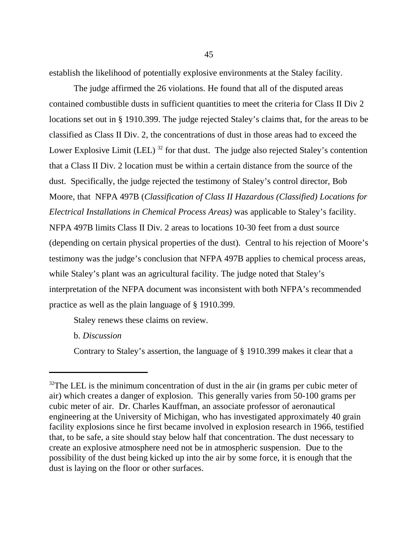establish the likelihood of potentially explosive environments at the Staley facility.

The judge affirmed the 26 violations. He found that all of the disputed areas contained combustible dusts in sufficient quantities to meet the criteria for Class II Div 2 locations set out in § 1910.399. The judge rejected Staley's claims that, for the areas to be classified as Class II Div. 2, the concentrations of dust in those areas had to exceed the Lower Explosive Limit (LEL)  $^{32}$  for that dust. The judge also rejected Staley's contention that a Class II Div. 2 location must be within a certain distance from the source of the dust. Specifically, the judge rejected the testimony of Staley's control director, Bob Moore, that NFPA 497B (*Classification of Class II Hazardous (Classified) Locations for Electrical Installations in Chemical Process Areas)* was applicable to Staley's facility. NFPA 497B limits Class II Div. 2 areas to locations 10-30 feet from a dust source (depending on certain physical properties of the dust). Central to his rejection of Moore's testimony was the judge's conclusion that NFPA 497B applies to chemical process areas, while Staley's plant was an agricultural facility. The judge noted that Staley's interpretation of the NFPA document was inconsistent with both NFPA's recommended practice as well as the plain language of § 1910.399.

Staley renews these claims on review.

b. *Discussion*

Contrary to Staley's assertion, the language of § 1910.399 makes it clear that a

 $32$ The LEL is the minimum concentration of dust in the air (in grams per cubic meter of air) which creates a danger of explosion. This generally varies from 50-100 grams per cubic meter of air. Dr. Charles Kauffman, an associate professor of aeronautical engineering at the University of Michigan, who has investigated approximately 40 grain facility explosions since he first became involved in explosion research in 1966, testified that, to be safe, a site should stay below half that concentration. The dust necessary to create an explosive atmosphere need not be in atmospheric suspension. Due to the possibility of the dust being kicked up into the air by some force, it is enough that the dust is laying on the floor or other surfaces.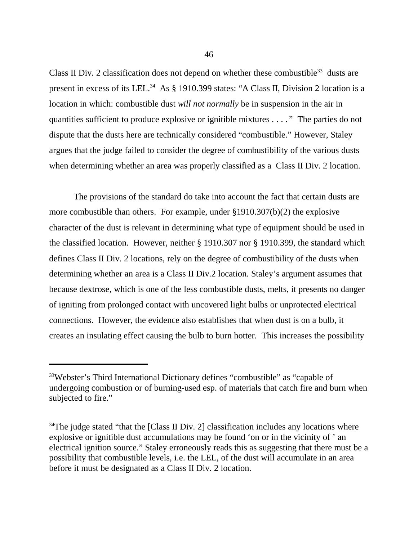Class II Div. 2 classification does not depend on whether these combustible<sup>33</sup> dusts are present in excess of its LEL.<sup>34</sup> As § 1910.399 states: "A Class II, Division 2 location is a location in which: combustible dust *will not normally* be in suspension in the air in quantities sufficient to produce explosive or ignitible mixtures *. . . ."* The parties do not dispute that the dusts here are technically considered "combustible." However, Staley argues that the judge failed to consider the degree of combustibility of the various dusts when determining whether an area was properly classified as a Class II Div. 2 location.

The provisions of the standard do take into account the fact that certain dusts are more combustible than others. For example, under §1910.307(b)(2) the explosive character of the dust is relevant in determining what type of equipment should be used in the classified location. However, neither § 1910.307 nor § 1910.399, the standard which defines Class II Div. 2 locations, rely on the degree of combustibility of the dusts when determining whether an area is a Class II Div.2 location. Staley's argument assumes that because dextrose, which is one of the less combustible dusts, melts, it presents no danger of igniting from prolonged contact with uncovered light bulbs or unprotected electrical connections. However, the evidence also establishes that when dust is on a bulb, it creates an insulating effect causing the bulb to burn hotter. This increases the possibility

<sup>&</sup>lt;sup>33</sup>Webster's Third International Dictionary defines "combustible" as "capable of undergoing combustion or of burning-used esp. of materials that catch fire and burn when subjected to fire."

 $34$ The judge stated "that the [Class II Div. 2] classification includes any locations where explosive or ignitible dust accumulations may be found 'on or in the vicinity of ' an electrical ignition source." Staley erroneously reads this as suggesting that there must be a possibility that combustible levels, i.e. the LEL, of the dust will accumulate in an area before it must be designated as a Class II Div. 2 location.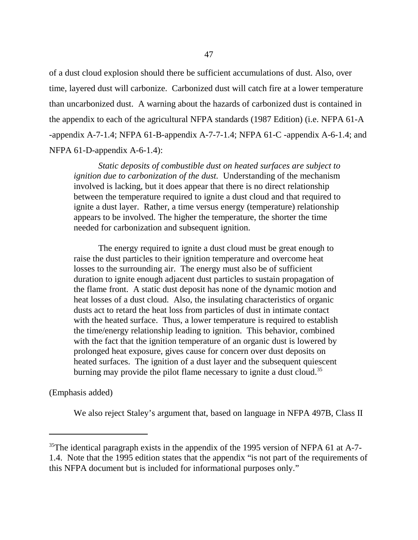of a dust cloud explosion should there be sufficient accumulations of dust. Also, over time, layered dust will carbonize. Carbonized dust will catch fire at a lower temperature than uncarbonized dust. A warning about the hazards of carbonized dust is contained in the appendix to each of the agricultural NFPA standards (1987 Edition) (i.e. NFPA 61-A -appendix A-7-1.4; NFPA 61-B-appendix A-7-7-1.4; NFPA 61-C -appendix A-6-1.4; and NFPA 61-D-appendix A-6-1.4):

*Static deposits of combustible dust on heated surfaces are subject to ignition due to carbonization of the dust.* Understanding of the mechanism involved is lacking, but it does appear that there is no direct relationship between the temperature required to ignite a dust cloud and that required to ignite a dust layer. Rather, a time versus energy (temperature) relationship appears to be involved. The higher the temperature, the shorter the time needed for carbonization and subsequent ignition.

The energy required to ignite a dust cloud must be great enough to raise the dust particles to their ignition temperature and overcome heat losses to the surrounding air. The energy must also be of sufficient duration to ignite enough adjacent dust particles to sustain propagation of the flame front. A static dust deposit has none of the dynamic motion and heat losses of a dust cloud. Also, the insulating characteristics of organic dusts act to retard the heat loss from particles of dust in intimate contact with the heated surface. Thus, a lower temperature is required to establish the time/energy relationship leading to ignition. This behavior, combined with the fact that the ignition temperature of an organic dust is lowered by prolonged heat exposure, gives cause for concern over dust deposits on heated surfaces. The ignition of a dust layer and the subsequent quiescent burning may provide the pilot flame necessary to ignite a dust cloud.<sup>35</sup>

(Emphasis added)

We also reject Staley's argument that, based on language in NFPA 497B, Class II

<sup>&</sup>lt;sup>35</sup>The identical paragraph exists in the appendix of the 1995 version of NFPA 61 at A-7-1.4. Note that the 1995 edition states that the appendix "is not part of the requirements of this NFPA document but is included for informational purposes only."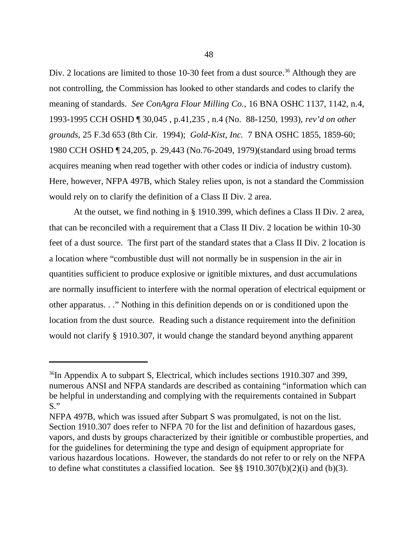Div. 2 locations are limited to those 10-30 feet from a dust source.<sup>36</sup> Although they are not controlling, the Commission has looked to other standards and codes to clarify the meaning of standards. *See ConAgra Flour Milling Co.,* 16 BNA OSHC 1137, 1142, n.4, 1993-1995 CCH OSHD ¶ 30,045 , p.41,235 , n.4 (No. 88-1250, 1993), *rev'd on other grounds*, 25 F.3d 653 (8th Cir. 1994); *Gold-Kist, Inc.* 7 BNA OSHC 1855, 1859-60; 1980 CCH OSHD ¶ 24,205, p. 29,443 (No.76-2049, 1979)(standard using broad terms acquires meaning when read together with other codes or indicia of industry custom). Here, however, NFPA 497B, which Staley relies upon, is not a standard the Commission would rely on to clarify the definition of a Class II Div. 2 area.

At the outset, we find nothing in § 1910.399, which defines a Class II Div. 2 area, that can be reconciled with a requirement that a Class II Div. 2 location be within 10-30 feet of a dust source. The first part of the standard states that a Class II Div. 2 location is a location where "combustible dust will not normally be in suspension in the air in quantities sufficient to produce explosive or ignitible mixtures, and dust accumulations are normally insufficient to interfere with the normal operation of electrical equipment or other apparatus. . ." Nothing in this definition depends on or is conditioned upon the location from the dust source. Reading such a distance requirement into the definition would not clarify § 1910.307, it would change the standard beyond anything apparent

<sup>&</sup>lt;sup>36</sup>In Appendix A to subpart S, Electrical, which includes sections 1910.307 and 399, numerous ANSI and NFPA standards are described as containing "information which can be helpful in understanding and complying with the requirements contained in Subpart  $S$ ."

NFPA 497B, which was issued after Subpart S was promulgated, is not on the list. Section 1910.307 does refer to NFPA 70 for the list and definition of hazardous gases, vapors, and dusts by groups characterized by their ignitible or combustible properties, and for the guidelines for determining the type and design of equipment appropriate for various hazardous locations. However, the standards do not refer to or rely on the NFPA to define what constitutes a classified location. See  $\S$ § 1910.307(b)(2)(i) and (b)(3).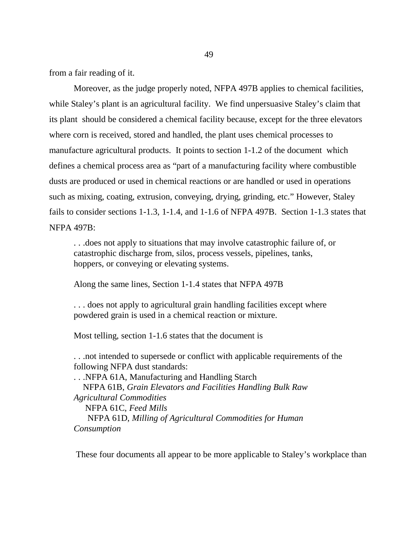from a fair reading of it.

Moreover, as the judge properly noted, NFPA 497B applies to chemical facilities, while Staley's plant is an agricultural facility. We find unpersuasive Staley's claim that its plant should be considered a chemical facility because, except for the three elevators where corn is received, stored and handled, the plant uses chemical processes to manufacture agricultural products. It points to section 1-1.2 of the document which defines a chemical process area as "part of a manufacturing facility where combustible dusts are produced or used in chemical reactions or are handled or used in operations such as mixing, coating, extrusion, conveying, drying, grinding, etc." However, Staley fails to consider sections 1-1.3, 1-1.4, and 1-1.6 of NFPA 497B. Section 1-1.3 states that NFPA 497B:

. . .does not apply to situations that may involve catastrophic failure of, or catastrophic discharge from, silos, process vessels, pipelines, tanks, hoppers, or conveying or elevating systems.

Along the same lines, Section 1-1.4 states that NFPA 497B

. . . does not apply to agricultural grain handling facilities except where powdered grain is used in a chemical reaction or mixture.

Most telling, section 1-1.6 states that the document is

. . .not intended to supersede or conflict with applicable requirements of the following NFPA dust standards:

. . .NFPA 61A, Manufacturing and Handling Starch NFPA 61B, *Grain Elevators and Facilities Handling Bulk Raw Agricultural Commodities* NFPA 61C, *Feed Mills* NFPA 61D, *Milling of Agricultural Commodities for Human Consumption*

These four documents all appear to be more applicable to Staley's workplace than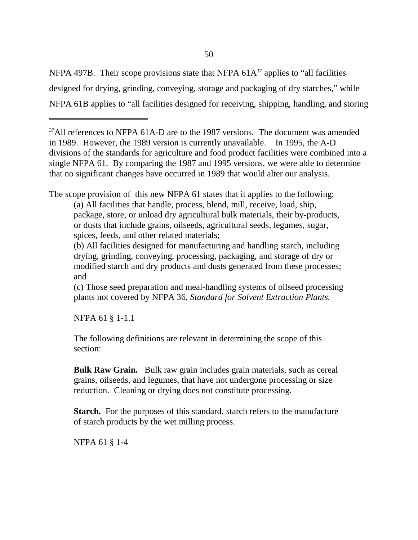NFPA 497B. Their scope provisions state that NFPA  $61A^{37}$  applies to "all facilities" designed for drying, grinding, conveying, storage and packaging of dry starches," while NFPA 61B applies to "all facilities designed for receiving, shipping, handling, and storing

The scope provision of this new NFPA 61 states that it applies to the following:

(a) All facilities that handle, process, blend, mill, receive, load, ship, package, store, or unload dry agricultural bulk materials, their by-products, or dusts that include grains, oilseeds, agricultural seeds, legumes, sugar, spices, feeds, and other related materials;

(b) All facilities designed for manufacturing and handling starch, including drying, grinding, conveying, processing, packaging, and storage of dry or modified starch and dry products and dusts generated from these processes; and

(c) Those seed preparation and meal-handling systems of oilseed processing plants not covered by NFPA 36, *Standard for Solvent Extraction Plants.*

NFPA 61 § 1-1.1

The following definitions are relevant in determining the scope of this section:

**Bulk Raw Grain.** Bulk raw grain includes grain materials, such as cereal grains, oilseeds, and legumes, that have not undergone processing or size reduction. Cleaning or drying does not constitute processing.

**Starch.** For the purposes of this standard, starch refers to the manufacture of starch products by the wet milling process.

NFPA 61 § 1-4

 $37$ All references to NFPA 61A-D are to the 1987 versions. The document was amended in 1989. However, the 1989 version is currently unavailable. In 1995, the A-D divisions of the standards for agriculture and food product facilities were combined into a single NFPA 61. By comparing the 1987 and 1995 versions, we were able to determine that no significant changes have occurred in 1989 that would alter our analysis.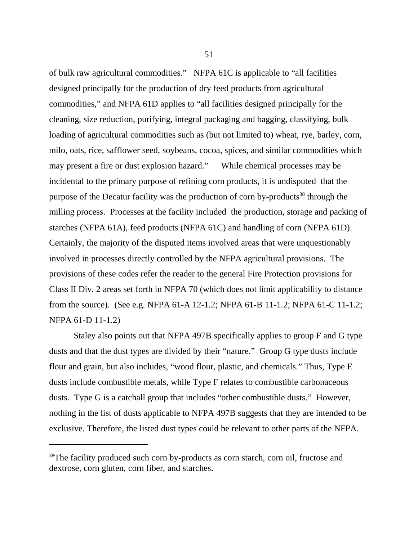of bulk raw agricultural commodities." NFPA 61C is applicable to "all facilities designed principally for the production of dry feed products from agricultural commodities," and NFPA 61D applies to "all facilities designed principally for the cleaning, size reduction, purifying, integral packaging and bagging, classifying, bulk loading of agricultural commodities such as (but not limited to) wheat, rye, barley, corn, milo, oats, rice, safflower seed, soybeans, cocoa, spices, and similar commodities which may present a fire or dust explosion hazard." While chemical processes may be incidental to the primary purpose of refining corn products, it is undisputed that the purpose of the Decatur facility was the production of corn by-products<sup>38</sup> through the milling process. Processes at the facility included the production, storage and packing of starches (NFPA 61A), feed products (NFPA 61C) and handling of corn (NFPA 61D). Certainly, the majority of the disputed items involved areas that were unquestionably involved in processes directly controlled by the NFPA agricultural provisions. The provisions of these codes refer the reader to the general Fire Protection provisions for Class II Div. 2 areas set forth in NFPA 70 (which does not limit applicability to distance from the source). (See e.g. NFPA 61-A 12-1.2; NFPA 61-B 11-1.2; NFPA 61-C 11-1.2; NFPA 61-D 11-1.2)

Staley also points out that NFPA 497B specifically applies to group F and G type dusts and that the dust types are divided by their "nature." Group G type dusts include flour and grain, but also includes, "wood flour, plastic, and chemicals." Thus, Type E dusts include combustible metals, while Type F relates to combustible carbonaceous dusts. Type G is a catchall group that includes "other combustible dusts." However, nothing in the list of dusts applicable to NFPA 497B suggests that they are intended to be exclusive. Therefore, the listed dust types could be relevant to other parts of the NFPA.

<sup>&</sup>lt;sup>38</sup>The facility produced such corn by-products as corn starch, corn oil, fructose and dextrose, corn gluten, corn fiber, and starches.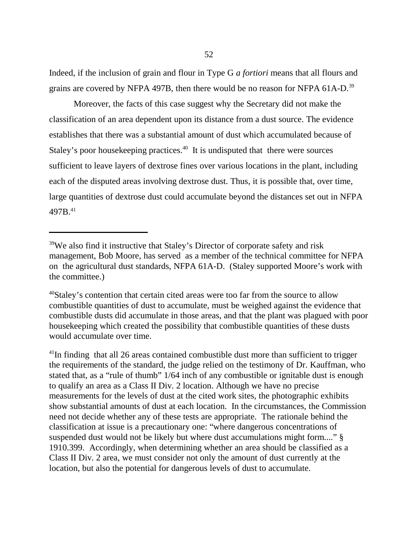Indeed, if the inclusion of grain and flour in Type G *a fortiori* means that all flours and grains are covered by NFPA 497B, then there would be no reason for NFPA 61A-D.<sup>39</sup>

Moreover, the facts of this case suggest why the Secretary did not make the classification of an area dependent upon its distance from a dust source. The evidence establishes that there was a substantial amount of dust which accumulated because of Staley's poor house keeping practices.<sup>40</sup> It is undisputed that there were sources sufficient to leave layers of dextrose fines over various locations in the plant, including each of the disputed areas involving dextrose dust. Thus, it is possible that, over time, large quantities of dextrose dust could accumulate beyond the distances set out in NFPA 497<sub>B.41</sub>

<sup>41</sup>In finding that all 26 areas contained combustible dust more than sufficient to trigger the requirements of the standard, the judge relied on the testimony of Dr. Kauffman, who stated that, as a "rule of thumb" 1/64 inch of any combustible or ignitable dust is enough to qualify an area as a Class II Div. 2 location. Although we have no precise measurements for the levels of dust at the cited work sites, the photographic exhibits show substantial amounts of dust at each location. In the circumstances, the Commission need not decide whether any of these tests are appropriate. The rationale behind the classification at issue is a precautionary one: "where dangerous concentrations of suspended dust would not be likely but where dust accumulations might form...." § 1910.399. Accordingly, when determining whether an area should be classified as a Class II Div. 2 area, we must consider not only the amount of dust currently at the location, but also the potential for dangerous levels of dust to accumulate.

<sup>&</sup>lt;sup>39</sup>We also find it instructive that Staley's Director of corporate safety and risk management, Bob Moore, has served as a member of the technical committee for NFPA on the agricultural dust standards, NFPA 61A-D. (Staley supported Moore's work with the committee.)

<sup>&</sup>lt;sup>40</sup>Staley's contention that certain cited areas were too far from the source to allow combustible quantities of dust to accumulate, must be weighed against the evidence that combustible dusts did accumulate in those areas, and that the plant was plagued with poor housekeeping which created the possibility that combustible quantities of these dusts would accumulate over time.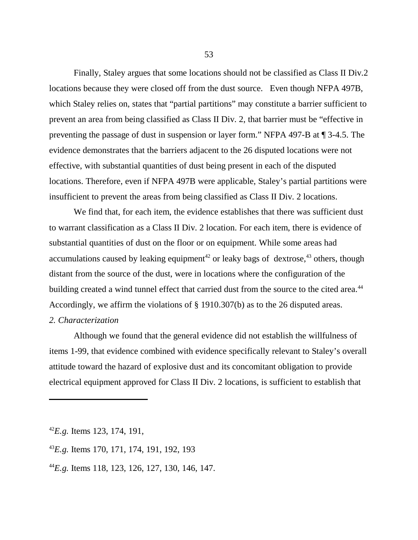Finally, Staley argues that some locations should not be classified as Class II Div.2 locations because they were closed off from the dust source. Even though NFPA 497B, which Staley relies on, states that "partial partitions" may constitute a barrier sufficient to prevent an area from being classified as Class II Div. 2, that barrier must be "effective in preventing the passage of dust in suspension or layer form." NFPA 497-B at ¶ 3-4.5. The evidence demonstrates that the barriers adjacent to the 26 disputed locations were not effective, with substantial quantities of dust being present in each of the disputed locations. Therefore, even if NFPA 497B were applicable, Staley's partial partitions were insufficient to prevent the areas from being classified as Class II Div. 2 locations.

We find that, for each item, the evidence establishes that there was sufficient dust to warrant classification as a Class II Div. 2 location. For each item, there is evidence of substantial quantities of dust on the floor or on equipment. While some areas had accumulations caused by leaking equipment<sup>42</sup> or leaky bags of dextrose,<sup>43</sup> others, though distant from the source of the dust, were in locations where the configuration of the building created a wind tunnel effect that carried dust from the source to the cited area.<sup>44</sup> Accordingly, we affirm the violations of § 1910.307(b) as to the 26 disputed areas. *2. Characterization*

Although we found that the general evidence did not establish the willfulness of items 1-99, that evidence combined with evidence specifically relevant to Staley's overall attitude toward the hazard of explosive dust and its concomitant obligation to provide electrical equipment approved for Class II Div. 2 locations, is sufficient to establish that

<sup>42</sup>*E.g.* Items 123, 174, 191,

<sup>43</sup>*E.g.* Items 170, 171, 174, 191, 192, 193

<sup>44</sup>*E.g.* Items 118, 123, 126, 127, 130, 146, 147.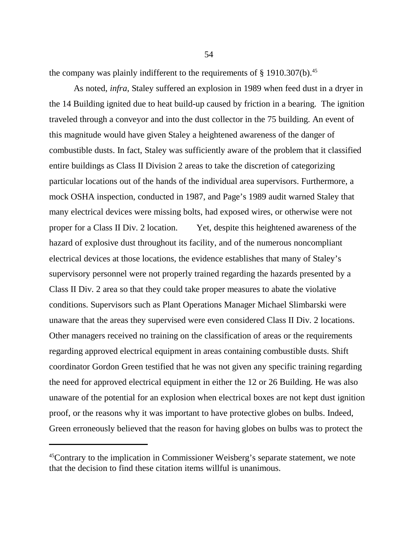the company was plainly indifferent to the requirements of  $\S$  1910.307(b).<sup>45</sup>

As noted, *infra*, Staley suffered an explosion in 1989 when feed dust in a dryer in the 14 Building ignited due to heat build-up caused by friction in a bearing. The ignition traveled through a conveyor and into the dust collector in the 75 building. An event of this magnitude would have given Staley a heightened awareness of the danger of combustible dusts. In fact, Staley was sufficiently aware of the problem that it classified entire buildings as Class II Division 2 areas to take the discretion of categorizing particular locations out of the hands of the individual area supervisors. Furthermore, a mock OSHA inspection, conducted in 1987, and Page's 1989 audit warned Staley that many electrical devices were missing bolts, had exposed wires, or otherwise were not proper for a Class II Div. 2 location. Yet, despite this heightened awareness of the hazard of explosive dust throughout its facility, and of the numerous noncompliant electrical devices at those locations, the evidence establishes that many of Staley's supervisory personnel were not properly trained regarding the hazards presented by a Class II Div. 2 area so that they could take proper measures to abate the violative conditions. Supervisors such as Plant Operations Manager Michael Slimbarski were unaware that the areas they supervised were even considered Class II Div. 2 locations. Other managers received no training on the classification of areas or the requirements regarding approved electrical equipment in areas containing combustible dusts. Shift coordinator Gordon Green testified that he was not given any specific training regarding the need for approved electrical equipment in either the 12 or 26 Building. He was also unaware of the potential for an explosion when electrical boxes are not kept dust ignition proof, or the reasons why it was important to have protective globes on bulbs. Indeed, Green erroneously believed that the reason for having globes on bulbs was to protect the

<sup>45</sup>Contrary to the implication in Commissioner Weisberg's separate statement, we note that the decision to find these citation items willful is unanimous.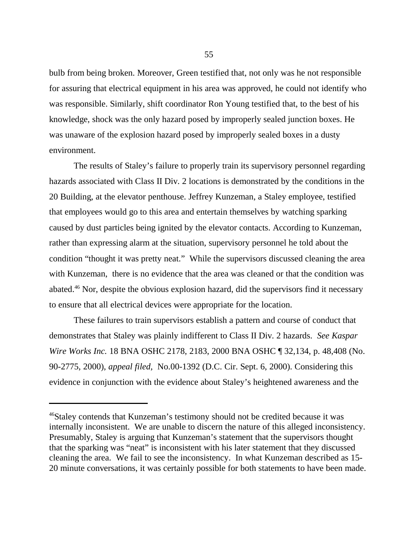bulb from being broken. Moreover, Green testified that, not only was he not responsible for assuring that electrical equipment in his area was approved, he could not identify who was responsible. Similarly, shift coordinator Ron Young testified that, to the best of his knowledge, shock was the only hazard posed by improperly sealed junction boxes. He was unaware of the explosion hazard posed by improperly sealed boxes in a dusty environment.

The results of Staley's failure to properly train its supervisory personnel regarding hazards associated with Class II Div. 2 locations is demonstrated by the conditions in the 20 Building, at the elevator penthouse. Jeffrey Kunzeman, a Staley employee, testified that employees would go to this area and entertain themselves by watching sparking caused by dust particles being ignited by the elevator contacts. According to Kunzeman, rather than expressing alarm at the situation, supervisory personnel he told about the condition "thought it was pretty neat." While the supervisors discussed cleaning the area with Kunzeman, there is no evidence that the area was cleaned or that the condition was abated.46 Nor, despite the obvious explosion hazard, did the supervisors find it necessary to ensure that all electrical devices were appropriate for the location.

These failures to train supervisors establish a pattern and course of conduct that demonstrates that Staley was plainly indifferent to Class II Div. 2 hazards. *See Kaspar Wire Works Inc.* 18 BNA OSHC 2178, 2183, 2000 BNA OSHC ¶ 32,134, p. 48,408 (No. 90-2775, 2000), *appeal filed,* No.00-1392 (D.C. Cir. Sept. 6, 2000). Considering this evidence in conjunction with the evidence about Staley's heightened awareness and the

<sup>&</sup>lt;sup>46</sup>Staley contends that Kunzeman's testimony should not be credited because it was internally inconsistent. We are unable to discern the nature of this alleged inconsistency. Presumably, Staley is arguing that Kunzeman's statement that the supervisors thought that the sparking was "neat" is inconsistent with his later statement that they discussed cleaning the area. We fail to see the inconsistency. In what Kunzeman described as 15- 20 minute conversations, it was certainly possible for both statements to have been made.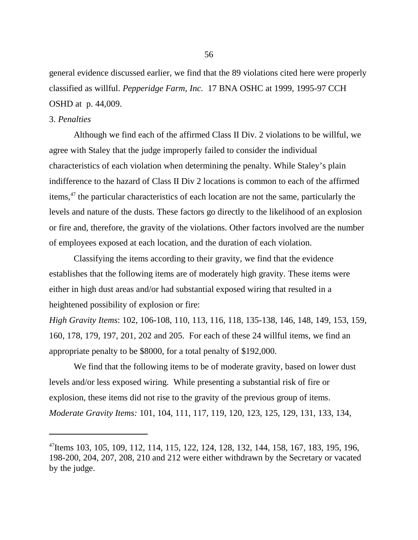general evidence discussed earlier, we find that the 89 violations cited here were properly classified as willful. *Pepperidge Farm, Inc.* 17 BNA OSHC at 1999, 1995-97 CCH OSHD at p. 44,009.

#### 3. *Penalties*

Although we find each of the affirmed Class II Div. 2 violations to be willful, we agree with Staley that the judge improperly failed to consider the individual characteristics of each violation when determining the penalty. While Staley's plain indifference to the hazard of Class II Div 2 locations is common to each of the affirmed items,47 the particular characteristics of each location are not the same, particularly the levels and nature of the dusts. These factors go directly to the likelihood of an explosion or fire and, therefore, the gravity of the violations. Other factors involved are the number of employees exposed at each location, and the duration of each violation.

Classifying the items according to their gravity, we find that the evidence establishes that the following items are of moderately high gravity. These items were either in high dust areas and/or had substantial exposed wiring that resulted in a heightened possibility of explosion or fire:

*High Gravity Items*: 102, 106-108, 110, 113, 116, 118, 135-138, 146, 148, 149, 153, 159, 160, 178, 179, 197, 201, 202 and 205. For each of these 24 willful items, we find an appropriate penalty to be \$8000, for a total penalty of \$192,000.

We find that the following items to be of moderate gravity, based on lower dust levels and/or less exposed wiring. While presenting a substantial risk of fire or explosion, these items did not rise to the gravity of the previous group of items. *Moderate Gravity Items:* 101, 104, 111, 117, 119, 120, 123, 125, 129, 131, 133, 134,

<sup>47</sup>Items 103, 105, 109, 112, 114, 115, 122, 124, 128, 132, 144, 158, 167, 183, 195, 196, 198-200, 204, 207, 208, 210 and 212 were either withdrawn by the Secretary or vacated by the judge.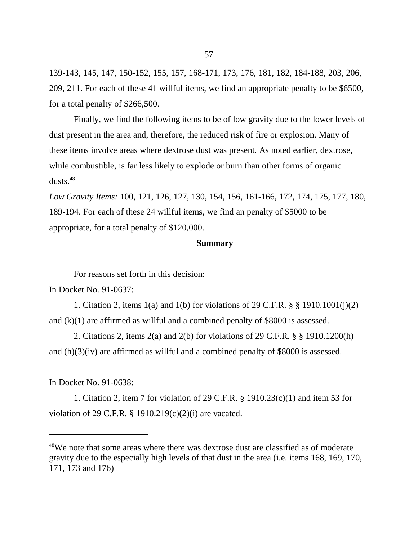139-143, 145, 147, 150-152, 155, 157, 168-171, 173, 176, 181, 182, 184-188, 203, 206, 209, 211. For each of these 41 willful items, we find an appropriate penalty to be \$6500, for a total penalty of \$266,500.

Finally, we find the following items to be of low gravity due to the lower levels of dust present in the area and, therefore, the reduced risk of fire or explosion. Many of these items involve areas where dextrose dust was present. As noted earlier, dextrose, while combustible, is far less likely to explode or burn than other forms of organic dusts.<sup>48</sup>

*Low Gravity Items:* 100, 121, 126, 127, 130, 154, 156, 161-166, 172, 174, 175, 177, 180, 189-194. For each of these 24 willful items, we find an penalty of \$5000 to be appropriate, for a total penalty of \$120,000.

#### **Summary**

For reasons set forth in this decision:

In Docket No. 91-0637:

1. Citation 2, items 1(a) and 1(b) for violations of 29 C.F.R. § § 1910.1001(j)(2) and (k)(1) are affirmed as willful and a combined penalty of \$8000 is assessed.

2. Citations 2, items 2(a) and 2(b) for violations of 29 C.F.R. § § 1910.1200(h) and (h)(3)(iv) are affirmed as willful and a combined penalty of \$8000 is assessed.

In Docket No. 91-0638:

1. Citation 2, item 7 for violation of 29 C.F.R. § 1910.23(c)(1) and item 53 for violation of 29 C.F.R.  $\S$  1910.219(c)(2)(i) are vacated.

<sup>&</sup>lt;sup>48</sup>We note that some areas where there was dextrose dust are classified as of moderate gravity due to the especially high levels of that dust in the area (i.e. items 168, 169, 170, 171, 173 and 176)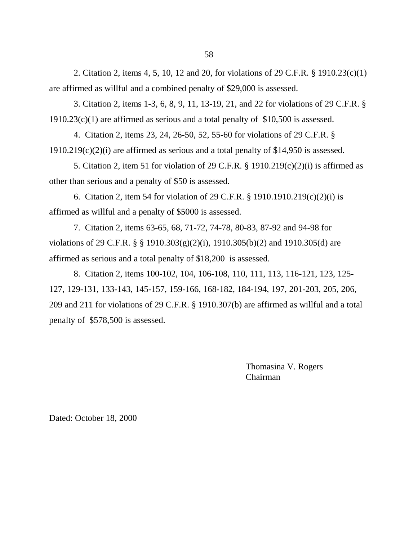2. Citation 2, items 4, 5, 10, 12 and 20, for violations of 29 C.F.R. § 1910.23(c)(1) are affirmed as willful and a combined penalty of \$29,000 is assessed.

3. Citation 2, items 1-3, 6, 8, 9, 11, 13-19, 21, and 22 for violations of 29 C.F.R. § 1910.23(c)(1) are affirmed as serious and a total penalty of \$10,500 is assessed.

4. Citation 2, items 23, 24, 26-50, 52, 55-60 for violations of 29 C.F.R. §  $1910.219(c)(2)(i)$  are affirmed as serious and a total penalty of \$14,950 is assessed.

5. Citation 2, item 51 for violation of 29 C.F.R. § 1910.219(c)(2)(i) is affirmed as other than serious and a penalty of \$50 is assessed.

6. Citation 2, item 54 for violation of 29 C.F.R. § 1910.1910.219(c)(2)(i) is affirmed as willful and a penalty of \$5000 is assessed.

7. Citation 2, items 63-65, 68, 71-72, 74-78, 80-83, 87-92 and 94-98 for violations of 29 C.F.R. § § 1910.303(g)(2)(i), 1910.305(b)(2) and 1910.305(d) are affirmed as serious and a total penalty of \$18,200 is assessed.

8. Citation 2, items 100-102, 104, 106-108, 110, 111, 113, 116-121, 123, 125- 127, 129-131, 133-143, 145-157, 159-166, 168-182, 184-194, 197, 201-203, 205, 206, 209 and 211 for violations of 29 C.F.R. § 1910.307(b) are affirmed as willful and a total penalty of \$578,500 is assessed.

> Thomasina V. Rogers Chairman

Dated: October 18, 2000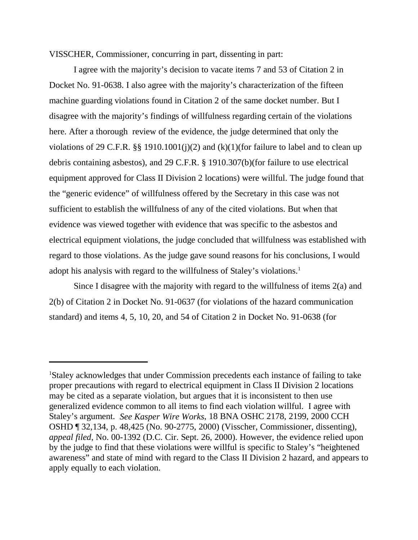VISSCHER, Commissioner, concurring in part, dissenting in part:

I agree with the majority's decision to vacate items 7 and 53 of Citation 2 in Docket No. 91-0638. I also agree with the majority's characterization of the fifteen machine guarding violations found in Citation 2 of the same docket number. But I disagree with the majority's findings of willfulness regarding certain of the violations here. After a thorough review of the evidence, the judge determined that only the violations of 29 C.F.R. §§ 1910.1001(j)(2) and  $(k)(1)$ (for failure to label and to clean up debris containing asbestos), and 29 C.F.R. § 1910.307(b)(for failure to use electrical equipment approved for Class II Division 2 locations) were willful. The judge found that the "generic evidence" of willfulness offered by the Secretary in this case was not sufficient to establish the willfulness of any of the cited violations. But when that evidence was viewed together with evidence that was specific to the asbestos and electrical equipment violations, the judge concluded that willfulness was established with regard to those violations. As the judge gave sound reasons for his conclusions, I would adopt his analysis with regard to the willfulness of Staley's violations.<sup>1</sup>

Since I disagree with the majority with regard to the willfulness of items 2(a) and 2(b) of Citation 2 in Docket No. 91-0637 (for violations of the hazard communication standard) and items 4, 5, 10, 20, and 54 of Citation 2 in Docket No. 91-0638 (for

<sup>&</sup>lt;sup>1</sup>Staley acknowledges that under Commission precedents each instance of failing to take proper precautions with regard to electrical equipment in Class II Division 2 locations may be cited as a separate violation, but argues that it is inconsistent to then use generalized evidence common to all items to find each violation willful. I agree with Staley's argument. *See Kasper Wire Works*, 18 BNA OSHC 2178, 2199, 2000 CCH OSHD ¶ 32,134, p. 48,425 (No. 90-2775, 2000) (Visscher, Commissioner, dissenting)*, appeal filed*, No. 00-1392 (D.C. Cir. Sept. 26, 2000). However, the evidence relied upon by the judge to find that these violations were willful is specific to Staley's "heightened awareness" and state of mind with regard to the Class II Division 2 hazard, and appears to apply equally to each violation.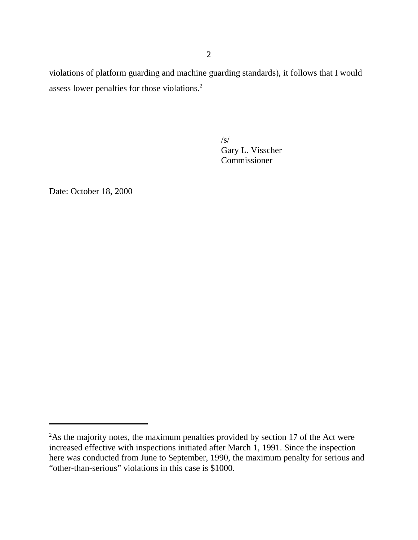violations of platform guarding and machine guarding standards), it follows that I would assess lower penalties for those violations.2

> $\sqrt{s}$ Gary L. Visscher Commissioner

Date: October 18, 2000

<sup>&</sup>lt;sup>2</sup>As the majority notes, the maximum penalties provided by section 17 of the Act were increased effective with inspections initiated after March 1, 1991. Since the inspection here was conducted from June to September, 1990, the maximum penalty for serious and "other-than-serious" violations in this case is \$1000.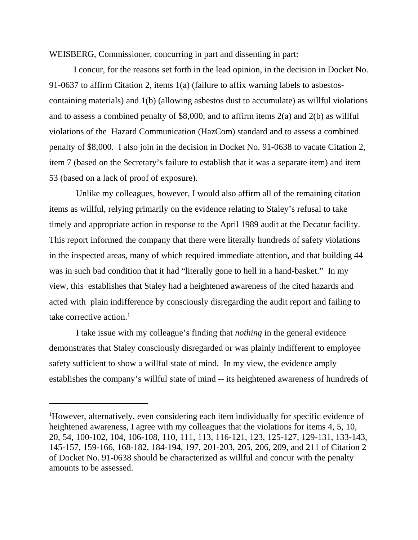WEISBERG, Commissioner, concurring in part and dissenting in part:

I concur, for the reasons set forth in the lead opinion, in the decision in Docket No. 91-0637 to affirm Citation 2, items 1(a) (failure to affix warning labels to asbestoscontaining materials) and 1(b) (allowing asbestos dust to accumulate) as willful violations and to assess a combined penalty of \$8,000, and to affirm items 2(a) and 2(b) as willful violations of the Hazard Communication (HazCom) standard and to assess a combined penalty of \$8,000. I also join in the decision in Docket No. 91-0638 to vacate Citation 2, item 7 (based on the Secretary's failure to establish that it was a separate item) and item 53 (based on a lack of proof of exposure).

 Unlike my colleagues, however, I would also affirm all of the remaining citation items as willful, relying primarily on the evidence relating to Staley's refusal to take timely and appropriate action in response to the April 1989 audit at the Decatur facility. This report informed the company that there were literally hundreds of safety violations in the inspected areas, many of which required immediate attention, and that building 44 was in such bad condition that it had "literally gone to hell in a hand-basket." In my view, this establishes that Staley had a heightened awareness of the cited hazards and acted with plain indifference by consciously disregarding the audit report and failing to take corrective action. $<sup>1</sup>$ </sup>

 I take issue with my colleague's finding that *nothing* in the general evidence demonstrates that Staley consciously disregarded or was plainly indifferent to employee safety sufficient to show a willful state of mind. In my view, the evidence amply establishes the company's willful state of mind -- its heightened awareness of hundreds of

<sup>&</sup>lt;sup>1</sup>However, alternatively, even considering each item individually for specific evidence of heightened awareness, I agree with my colleagues that the violations for items 4, 5, 10, 20, 54, 100-102, 104, 106-108, 110, 111, 113, 116-121, 123, 125-127, 129-131, 133-143, 145-157, 159-166, 168-182, 184-194, 197, 201-203, 205, 206, 209, and 211 of Citation 2 of Docket No. 91-0638 should be characterized as willful and concur with the penalty amounts to be assessed.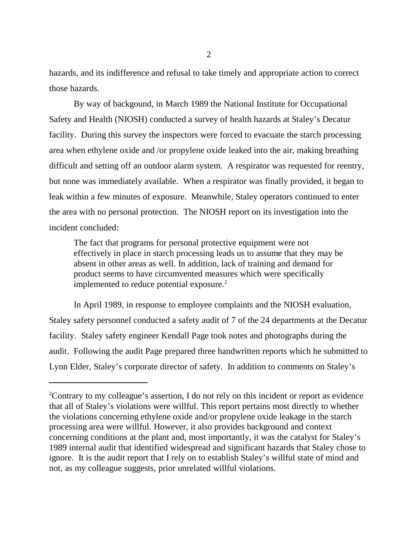hazards, and its indifference and refusal to take timely and appropriate action to correct those hazards.

By way of backgound, in March 1989 the National Institute for Occupational Safety and Health (NIOSH) conducted a survey of health hazards at Staley's Decatur facility. During this survey the inspectors were forced to evacuate the starch processing area when ethylene oxide and /or propylene oxide leaked into the air, making breathing difficult and setting off an outdoor alarm system. A respirator was requested for reentry, but none was immediately available. When a respirator was finally provided, it began to leak within a few minutes of exposure. Meanwhile, Staley operators continued to enter the area with no personal protection. The NIOSH report on its investigation into the incident concluded:

The fact that programs for personal protective equipment were not effectively in place in starch processing leads us to assume that they may be absent in other areas as well. In addition, lack of training and demand for product seems to have circumvented measures which were specifically implemented to reduce potential exposure.<sup>2</sup>

In April 1989, in response to employee complaints and the NIOSH evaluation, Staley safety personnel conducted a safety audit of 7 of the 24 departments at the Decatur facility. Staley safety engineer Kendall Page took notes and photographs during the audit. Following the audit Page prepared three handwritten reports which he submitted to Lynn Elder, Staley's corporate director of safety. In addition to comments on Staley's

<sup>&</sup>lt;sup>2</sup>Contrary to my colleague's assertion, I do not rely on this incident or report as evidence that all of Staley's violations were willful. This report pertains most directly to whether the violations concerning ethylene oxide and/or propylene oxide leakage in the starch processing area were willful. However, it also provides background and context concerning conditions at the plant and, most importantly, it was the catalyst for Staley's 1989 internal audit that identified widespread and significant hazards that Staley chose to ignore. It is the audit report that I rely on to establish Staley's willful state of mind and not, as my colleague suggests, prior unrelated willful violations.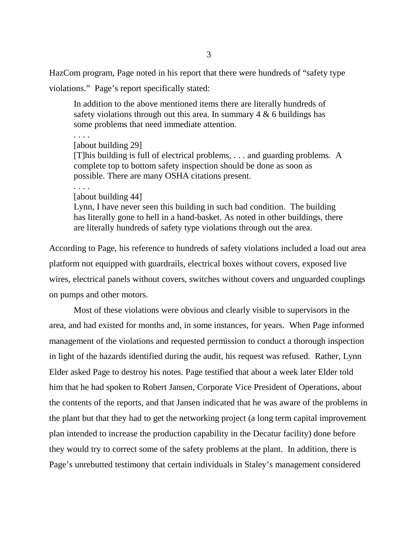HazCom program, Page noted in his report that there were hundreds of "safety type

violations." Page's report specifically stated:

In addition to the above mentioned items there are literally hundreds of safety violations through out this area. In summary  $4 \& 6$  buildings has some problems that need immediate attention.

. . . . [about building 29] [T]his building is full of electrical problems, . . . and guarding problems. A complete top to bottom safety inspection should be done as soon as possible. There are many OSHA citations present. . . . .

[about building 44]

Lynn, I have never seen this building in such bad condition. The building has literally gone to hell in a hand-basket. As noted in other buildings, there are literally hundreds of safety type violations through out the area.

According to Page, his reference to hundreds of safety violations included a load out area platform not equipped with guardrails, electrical boxes without covers, exposed live wires, electrical panels without covers, switches without covers and unguarded couplings on pumps and other motors.

Most of these violations were obvious and clearly visible to supervisors in the area, and had existed for months and, in some instances, for years. When Page informed management of the violations and requested permission to conduct a thorough inspection in light of the hazards identified during the audit, his request was refused. Rather, Lynn Elder asked Page to destroy his notes. Page testified that about a week later Elder told him that he had spoken to Robert Jansen, Corporate Vice President of Operations, about the contents of the reports, and that Jansen indicated that he was aware of the problems in the plant but that they had to get the networking project (a long term capital improvement plan intended to increase the production capability in the Decatur facility) done before they would try to correct some of the safety problems at the plant. In addition, there is Page's unrebutted testimony that certain individuals in Staley's management considered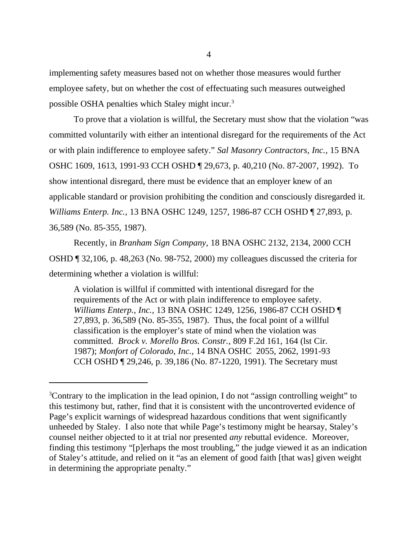implementing safety measures based not on whether those measures would further employee safety, but on whether the cost of effectuating such measures outweighed possible OSHA penalties which Staley might incur.3

To prove that a violation is willful, the Secretary must show that the violation "was committed voluntarily with either an intentional disregard for the requirements of the Act or with plain indifference to employee safety." *Sal Masonry Contractors, Inc.*, 15 BNA OSHC 1609, 1613, 1991-93 CCH OSHD ¶ 29,673, p. 40,210 (No. 87-2007, 1992). To show intentional disregard, there must be evidence that an employer knew of an applicable standard or provision prohibiting the condition and consciously disregarded it. *Williams Enterp. Inc.*, 13 BNA OSHC 1249, 1257, 1986-87 CCH OSHD ¶ 27,893, p. 36,589 (No. 85-355, 1987).

Recently, in *Branham Sign Company,* 18 BNA OSHC 2132, 2134, 2000 CCH OSHD ¶ 32,106, p. 48,263 (No. 98-752, 2000) my colleagues discussed the criteria for determining whether a violation is willful:

A violation is willful if committed with intentional disregard for the requirements of the Act or with plain indifference to employee safety. *Williams Enterp., Inc.,* 13 BNA OSHC 1249, 1256, 1986-87 CCH OSHD ¶ 27,893, p. 36,589 (No. 85-355, 1987). Thus, the focal point of a willful classification is the employer's state of mind when the violation was committed. *Brock v. Morello Bros. Constr.,* 809 F.2d 161, 164 (lst Cir. 1987); *Monfort of Colorado, Inc.,* 14 BNA OSHC 2055, 2062, 1991-93 CCH OSHD ¶ 29,246, p. 39,186 (No. 87-1220, 1991). The Secretary must

<sup>&</sup>lt;sup>3</sup>Contrary to the implication in the lead opinion, I do not "assign controlling weight" to this testimony but, rather, find that it is consistent with the uncontroverted evidence of Page's explicit warnings of widespread hazardous conditions that went significantly unheeded by Staley. I also note that while Page's testimony might be hearsay, Staley's counsel neither objected to it at trial nor presented *any* rebuttal evidence. Moreover, finding this testimony "[p]erhaps the most troubling," the judge viewed it as an indication of Staley's attitude, and relied on it "as an element of good faith [that was] given weight in determining the appropriate penalty."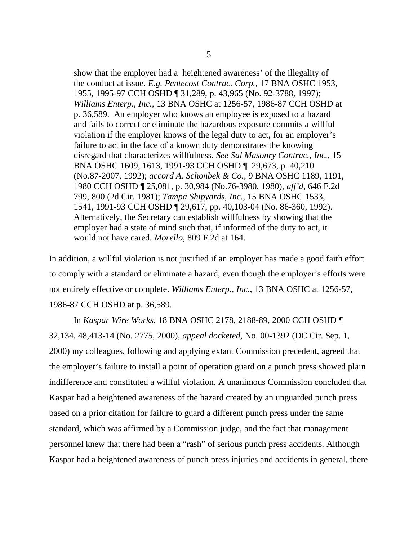show that the employer had a heightened awareness' of the illegality of the conduct at issue. *E.g. Pentecost Contrac. Corp.,* 17 BNA OSHC 1953, 1955, 1995-97 CCH OSHD ¶ 31,289, p. 43,965 (No. 92-3788, 1997); *Williams Enterp., Inc.*, 13 BNA OSHC at 1256-57, 1986-87 CCH OSHD at p. 36,589. An employer who knows an employee is exposed to a hazard and fails to correct or eliminate the hazardous exposure commits a willful violation if the employer knows of the legal duty to act, for an employer's failure to act in the face of a known duty demonstrates the knowing disregard that characterizes willfulness. *See Sal Masonry Contrac., Inc.,* 15 BNA OSHC 1609, 1613, 1991-93 CCH OSHD ¶ 29,673, p. 40,210 (No.87-2007, 1992); *accord A. Schonbek & Co.,* 9 BNA OSHC 1189, 1191, 1980 CCH OSHD ¶ 25,081, p. 30,984 (No.76-3980, 1980), *aff'd*, 646 F.2d 799, 800 (2d Cir. 1981); *Tampa Shipyards, Inc.,* 15 BNA OSHC 1533, 1541, 1991-93 CCH OSHD ¶ 29,617, pp. 40,103-04 (No. 86-360, 1992). Alternatively, the Secretary can establish willfulness by showing that the employer had a state of mind such that, if informed of the duty to act, it would not have cared. *Morello,* 809 F.2d at 164.

In addition, a willful violation is not justified if an employer has made a good faith effort to comply with a standard or eliminate a hazard, even though the employer's efforts were not entirely effective or complete. *Williams Enterp., Inc.*, 13 BNA OSHC at 1256-57, 1986-87 CCH OSHD at p. 36,589.

In *Kaspar Wire Works,* 18 BNA OSHC 2178, 2188-89, 2000 CCH OSHD ¶ 32,134, 48,413-14 (No. 2775, 2000), *appeal docketed*, No. 00-1392 (DC Cir. Sep. 1, 2000) my colleagues, following and applying extant Commission precedent, agreed that the employer's failure to install a point of operation guard on a punch press showed plain indifference and constituted a willful violation. A unanimous Commission concluded that Kaspar had a heightened awareness of the hazard created by an unguarded punch press based on a prior citation for failure to guard a different punch press under the same standard, which was affirmed by a Commission judge, and the fact that management personnel knew that there had been a "rash" of serious punch press accidents. Although Kaspar had a heightened awareness of punch press injuries and accidents in general, there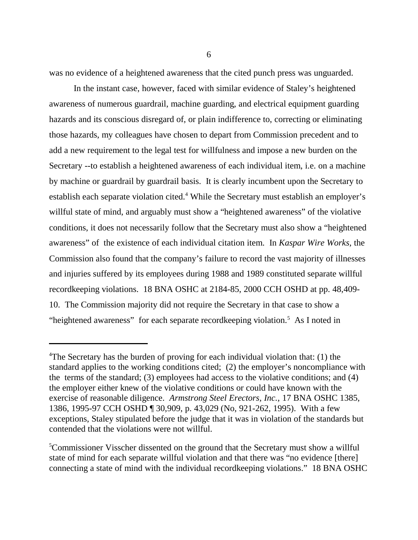was no evidence of a heightened awareness that the cited punch press was unguarded.

In the instant case, however, faced with similar evidence of Staley's heightened awareness of numerous guardrail, machine guarding, and electrical equipment guarding hazards and its conscious disregard of, or plain indifference to, correcting or eliminating those hazards, my colleagues have chosen to depart from Commission precedent and to add a new requirement to the legal test for willfulness and impose a new burden on the Secretary --to establish a heightened awareness of each individual item, i.e. on a machine by machine or guardrail by guardrail basis. It is clearly incumbent upon the Secretary to establish each separate violation cited.<sup>4</sup> While the Secretary must establish an employer's willful state of mind, and arguably must show a "heightened awareness" of the violative conditions, it does not necessarily follow that the Secretary must also show a "heightened awareness" of the existence of each individual citation item. In *Kaspar Wire Works,* the Commission also found that the company's failure to record the vast majority of illnesses and injuries suffered by its employees during 1988 and 1989 constituted separate willful recordkeeping violations. 18 BNA OSHC at 2184-85, 2000 CCH OSHD at pp. 48,409- 10. The Commission majority did not require the Secretary in that case to show a "heightened awareness" for each separate recordkeeping violation.<sup>5</sup> As I noted in

<sup>&</sup>lt;sup>4</sup>The Secretary has the burden of proving for each individual violation that: (1) the standard applies to the working conditions cited; (2) the employer's noncompliance with the terms of the standard; (3) employees had access to the violative conditions; and (4) the employer either knew of the violative conditions or could have known with the exercise of reasonable diligence. *Armstrong Steel Erectors, Inc.,* 17 BNA OSHC 1385, 1386, 1995-97 CCH OSHD ¶ 30,909, p. 43,029 (No, 921-262, 1995). With a few exceptions, Staley stipulated before the judge that it was in violation of the standards but contended that the violations were not willful.

<sup>&</sup>lt;sup>5</sup>Commissioner Visscher dissented on the ground that the Secretary must show a willful state of mind for each separate willful violation and that there was "no evidence [there] connecting a state of mind with the individual recordkeeping violations." 18 BNA OSHC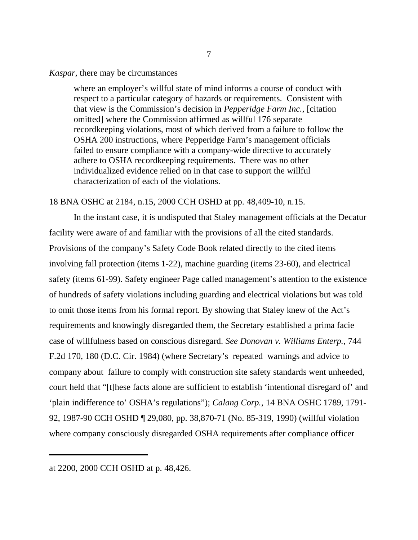### *Kaspar*, there may be circumstances

where an employer's willful state of mind informs a course of conduct with respect to a particular category of hazards or requirements. Consistent with that view is the Commission's decision in *Pepperidge Farm Inc.*, [citation omitted] where the Commission affirmed as willful 176 separate recordkeeping violations, most of which derived from a failure to follow the OSHA 200 instructions, where Pepperidge Farm's management officials failed to ensure compliance with a company-wide directive to accurately adhere to OSHA recordkeeping requirements. There was no other individualized evidence relied on in that case to support the willful characterization of each of the violations.

# 18 BNA OSHC at 2184, n.15, 2000 CCH OSHD at pp. 48,409-10, n.15.

In the instant case, it is undisputed that Staley management officials at the Decatur facility were aware of and familiar with the provisions of all the cited standards. Provisions of the company's Safety Code Book related directly to the cited items involving fall protection (items 1-22), machine guarding (items 23-60), and electrical safety (items 61-99). Safety engineer Page called management's attention to the existence of hundreds of safety violations including guarding and electrical violations but was told to omit those items from his formal report. By showing that Staley knew of the Act's requirements and knowingly disregarded them, the Secretary established a prima facie case of willfulness based on conscious disregard. *See Donovan v. Williams Enterp.*, 744 F.2d 170, 180 (D.C. Cir. 1984) (where Secretary's repeated warnings and advice to company about failure to comply with construction site safety standards went unheeded, court held that "[t]hese facts alone are sufficient to establish 'intentional disregard of' and 'plain indifference to' OSHA's regulations"); *Calang Corp.*, 14 BNA OSHC 1789, 1791- 92, 1987-90 CCH OSHD ¶ 29,080, pp. 38,870-71 (No. 85-319, 1990) (willful violation where company consciously disregarded OSHA requirements after compliance officer

at 2200, 2000 CCH OSHD at p. 48,426.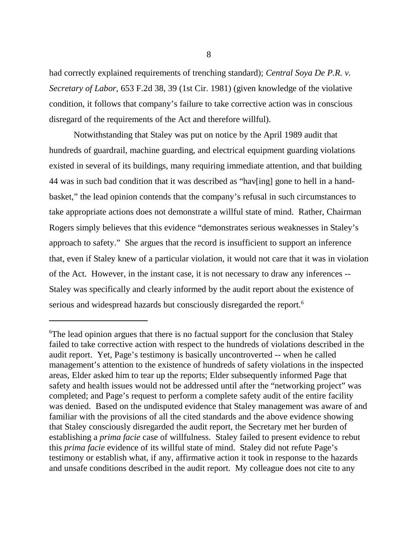had correctly explained requirements of trenching standard); *Central Soya De P.R. v. Secretary of Labor*, 653 F.2d 38, 39 (1st Cir. 1981) (given knowledge of the violative condition, it follows that company's failure to take corrective action was in conscious disregard of the requirements of the Act and therefore willful).

Notwithstanding that Staley was put on notice by the April 1989 audit that hundreds of guardrail, machine guarding, and electrical equipment guarding violations existed in several of its buildings, many requiring immediate attention, and that building 44 was in such bad condition that it was described as "hav[ing] gone to hell in a handbasket," the lead opinion contends that the company's refusal in such circumstances to take appropriate actions does not demonstrate a willful state of mind. Rather, Chairman Rogers simply believes that this evidence "demonstrates serious weaknesses in Staley's approach to safety." She argues that the record is insufficient to support an inference that, even if Staley knew of a particular violation, it would not care that it was in violation of the Act. However, in the instant case, it is not necessary to draw any inferences -- Staley was specifically and clearly informed by the audit report about the existence of serious and widespread hazards but consciously disregarded the report.<sup>6</sup>

<sup>&</sup>lt;sup>6</sup>The lead opinion argues that there is no factual support for the conclusion that Staley failed to take corrective action with respect to the hundreds of violations described in the audit report. Yet, Page's testimony is basically uncontroverted -- when he called management's attention to the existence of hundreds of safety violations in the inspected areas, Elder asked him to tear up the reports; Elder subsequently informed Page that safety and health issues would not be addressed until after the "networking project" was completed; and Page's request to perform a complete safety audit of the entire facility was denied. Based on the undisputed evidence that Staley management was aware of and familiar with the provisions of all the cited standards and the above evidence showing that Staley consciously disregarded the audit report, the Secretary met her burden of establishing a *prima facie* case of willfulness. Staley failed to present evidence to rebut this *prima facie* evidence of its willful state of mind. Staley did not refute Page's testimony or establish what, if any, affirmative action it took in response to the hazards and unsafe conditions described in the audit report. My colleague does not cite to any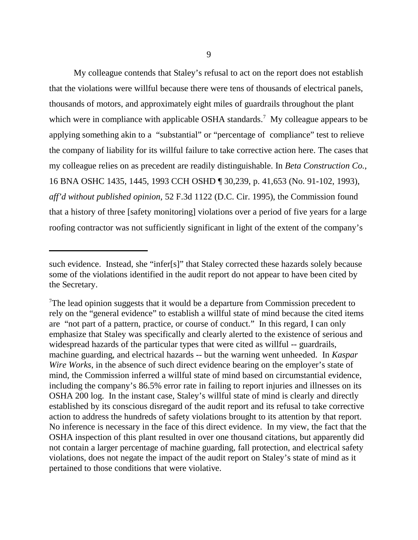My colleague contends that Staley's refusal to act on the report does not establish that the violations were willful because there were tens of thousands of electrical panels, thousands of motors, and approximately eight miles of guardrails throughout the plant which were in compliance with applicable OSHA standards.<sup>7</sup> My colleague appears to be applying something akin to a "substantial" or "percentage of compliance" test to relieve the company of liability for its willful failure to take corrective action here. The cases that my colleague relies on as precedent are readily distinguishable. In *Beta Construction Co.*, 16 BNA OSHC 1435, 1445, 1993 CCH OSHD ¶ 30,239, p. 41,653 (No. 91-102, 1993), *aff'd without published opinion*, 52 F.3d 1122 (D.C. Cir. 1995), the Commission found that a history of three [safety monitoring] violations over a period of five years for a large roofing contractor was not sufficiently significant in light of the extent of the company's

such evidence. Instead, she "infer[s]" that Staley corrected these hazards solely because some of the violations identified in the audit report do not appear to have been cited by the Secretary.

<sup>&</sup>lt;sup>7</sup>The lead opinion suggests that it would be a departure from Commission precedent to rely on the "general evidence" to establish a willful state of mind because the cited items are "not part of a pattern, practice, or course of conduct." In this regard, I can only emphasize that Staley was specifically and clearly alerted to the existence of serious and widespread hazards of the particular types that were cited as willful -- guardrails, machine guarding, and electrical hazards -- but the warning went unheeded. In *Kaspar Wire Works*, in the absence of such direct evidence bearing on the employer's state of mind, the Commission inferred a willful state of mind based on circumstantial evidence, including the company's 86.5% error rate in failing to report injuries and illnesses on its OSHA 200 log. In the instant case, Staley's willful state of mind is clearly and directly established by its conscious disregard of the audit report and its refusal to take corrective action to address the hundreds of safety violations brought to its attention by that report. No inference is necessary in the face of this direct evidence. In my view, the fact that the OSHA inspection of this plant resulted in over one thousand citations, but apparently did not contain a larger percentage of machine guarding, fall protection, and electrical safety violations, does not negate the impact of the audit report on Staley's state of mind as it pertained to those conditions that were violative.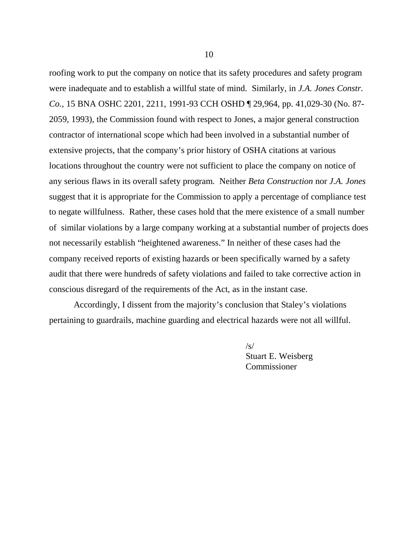roofing work to put the company on notice that its safety procedures and safety program were inadequate and to establish a willful state of mind. Similarly, in *J.A. Jones Constr. Co.,* 15 BNA OSHC 2201, 2211, 1991-93 CCH OSHD ¶ 29,964, pp. 41,029-30 (No. 87- 2059, 1993), the Commission found with respect to Jones, a major general construction contractor of international scope which had been involved in a substantial number of extensive projects, that the company's prior history of OSHA citations at various locations throughout the country were not sufficient to place the company on notice of any serious flaws in its overall safety program. Neither *Beta Construction* nor *J.A. Jones* suggest that it is appropriate for the Commission to apply a percentage of compliance test to negate willfulness. Rather, these cases hold that the mere existence of a small number of similar violations by a large company working at a substantial number of projects does not necessarily establish "heightened awareness." In neither of these cases had the company received reports of existing hazards or been specifically warned by a safety audit that there were hundreds of safety violations and failed to take corrective action in conscious disregard of the requirements of the Act, as in the instant case.

Accordingly, I dissent from the majority's conclusion that Staley's violations pertaining to guardrails, machine guarding and electrical hazards were not all willful.

> $\sqrt{s/2}$ Stuart E. Weisberg Commissioner